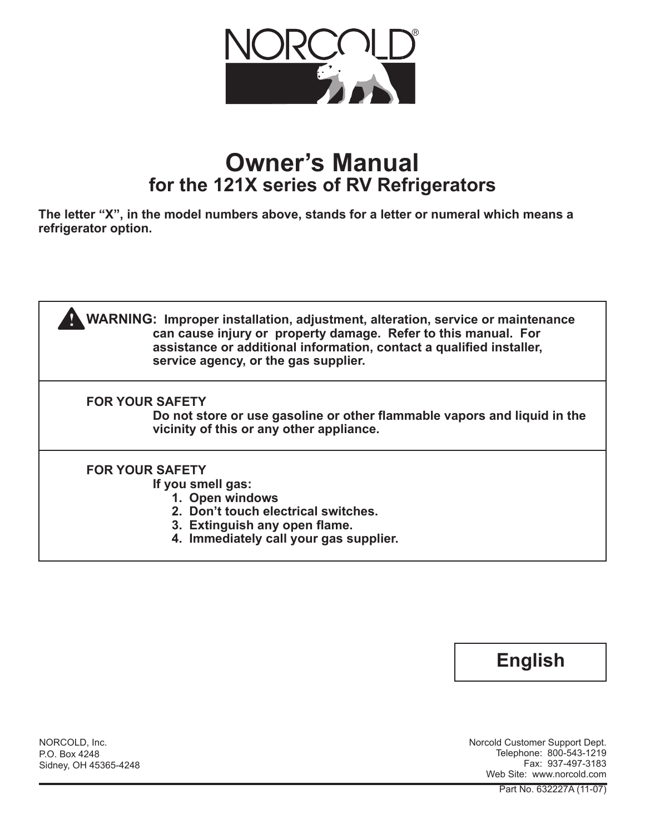

# **Owner's Manual for the 121X series of RV Refrigerators**

**The letter "X", in the model numbers above, stands for a letter or numeral which means a refrigerator option.**





NORCOLD, Inc. P.O. Box 4248 Sidney, OH 45365-4248 Norcold Customer Support Dept. Telephone: 800-543-1219 Fax: 937-497-3183 Web Site: www.norcold.com

Part No. 632227A (11-07)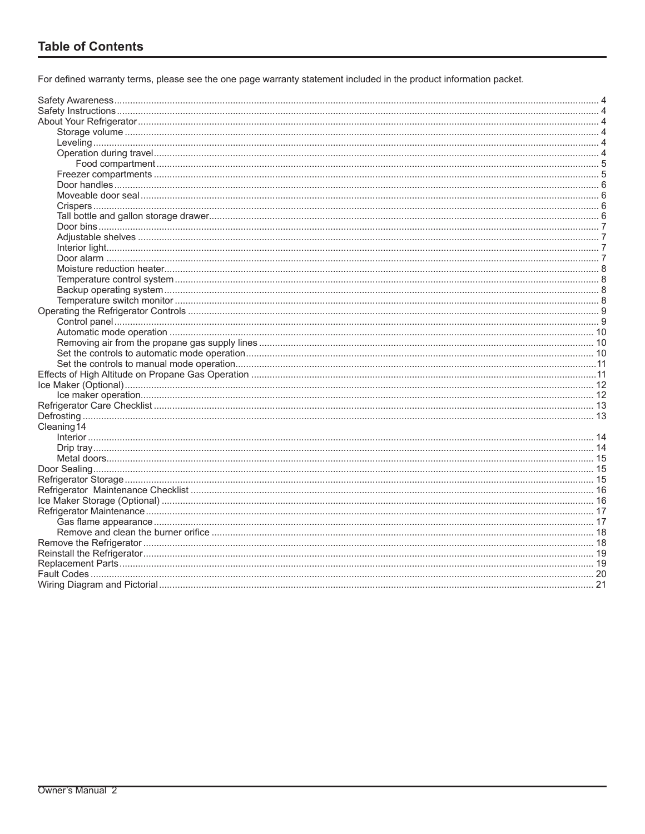For defined warranty terms, please see the one page warranty statement included in the product information packet.

| Cleaning 14 |  |
|-------------|--|
|             |  |
|             |  |
|             |  |
|             |  |
|             |  |
|             |  |
|             |  |
|             |  |
|             |  |
|             |  |
|             |  |
|             |  |
|             |  |
|             |  |
|             |  |
|             |  |
|             |  |
|             |  |
|             |  |
|             |  |
|             |  |
|             |  |
|             |  |
|             |  |
|             |  |
|             |  |
|             |  |
|             |  |
|             |  |
|             |  |
|             |  |
|             |  |
|             |  |
|             |  |
|             |  |
|             |  |
|             |  |
|             |  |
|             |  |
|             |  |
|             |  |
|             |  |
|             |  |
|             |  |
|             |  |
|             |  |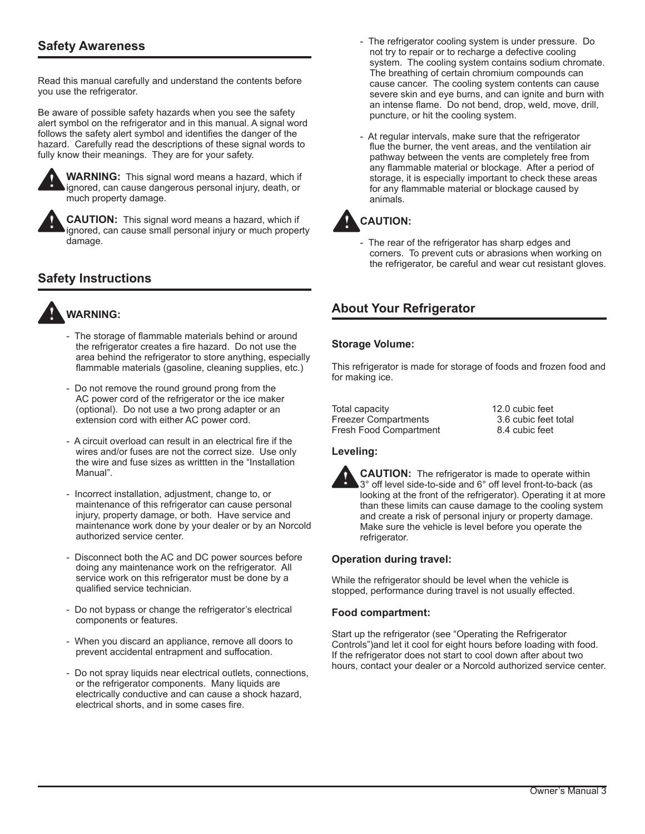# **Safety Awareness**

Read this manual carefully and understand the contents before you use the refrigerator.

Be aware of possible safety hazards when you see the safety alert symbol on the refrigerator and in this manual. A signal word follows the safety alert symbol and identifies the danger of the hazard. Carefully read the descriptions of these signal words to fully know their meanings. They are for your safety.



**WARNING:** This signal word means a hazard, which if ignored, can cause dangerous personal injury, death, or much property damage.

**!**

**CAUTION:** This signal word means a hazard, which if ignored, can cause small personal injury or much property damage.

# **Safety Instructions**



- The storage of flammable materials behind or around the refrigerator creates a fire hazard. Do not use the area behind the refrigerator to store anything, especially flammable materials (gasoline, cleaning supplies, etc.)
- Do not remove the round ground prong from the AC power cord of the refrigerator or the ice maker (optional). Do not use a two prong adapter or an extension cord with either AC power cord.
- A circuit overload can result in an electrical fire if the wires and/or fuses are not the correct size. Use only the wire and fuse sizes as writtten in the "Installation Manual".
- Incorrect installation, adjustment, change to, or maintenance of this refrigerator can cause personal injury, property damage, or both. Have service and maintenance work done by your dealer or by an Norcold authorized service center.
- Disconnect both the AC and DC power sources before doing any maintenance work on the refrigerator. All service work on this refrigerator must be done by a qualified service technician.
- Do not bypass or change the refrigerator's electrical components or features.
- When you discard an appliance, remove all doors to prevent accidental entrapment and suffocation.
- Do not spray liquids near electrical outlets, connections, or the refrigerator components. Many liquids are electrically conductive and can cause a shock hazard, electrical shorts, and in some cases fire.
- The refrigerator cooling system is under pressure. Do not try to repair or to recharge a defective cooling system. The cooling system contains sodium chromate. The breathing of certain chromium compounds can cause cancer. The cooling system contents can cause severe skin and eye burns, and can ignite and burn with an intense flame. Do not bend, drop, weld, move, drill, puncture, or hit the cooling system.
- At regular intervals, make sure that the refrigerator flue the burner, the vent areas, and the ventilation air pathway between the vents are completely free from any flammable material or blockage. After a period of storage, it is especially important to check these areas for any flammable material or blockage caused by animals.



- The rear of the refrigerator has sharp edges and corners. To prevent cuts or abrasions when working on the refrigerator, be careful and wear cut resistant gloves.

# **About Your Refrigerator**

## **Storage Volume:**

This refrigerator is made for storage of foods and frozen food and for making ice.

Total capacity 12.0 cubic feet Freezer Compartments 3.6 cubic feet total Fresh Food Compartment 8.4 cubic feet

## **Leveling:**



**CAUTION:** The refrigerator is made to operate within 3° off level side-to-side and 6° off level front-to-back (as looking at the front of the refrigerator). Operating it at more than these limits can cause damage to the cooling system and create a risk of personal injury or property damage. Make sure the vehicle is level before you operate the refrigerator.

## **Operation during travel:**

While the refrigerator should be level when the vehicle is stopped, performance during travel is not usually effected.

## **Food compartment:**

Start up the refrigerator (see "Operating the Refrigerator Controls")and let it cool for eight hours before loading with food. If the refrigerator does not start to cool down after about two hours, contact your dealer or a Norcold authorized service center.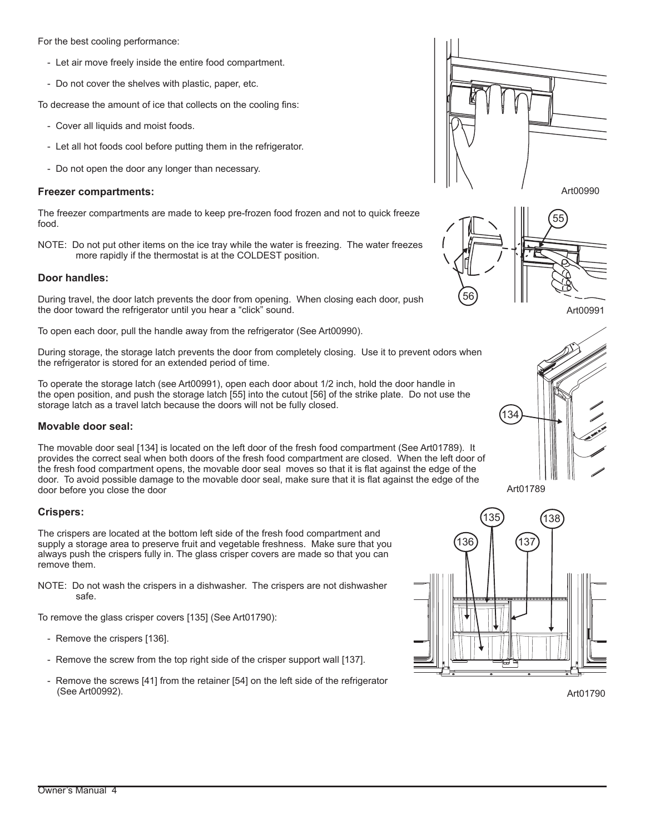For the best cooling performance:

- Let air move freely inside the entire food compartment.
- Do not cover the shelves with plastic, paper, etc.

To decrease the amount of ice that collects on the cooling fins:

- Cover all liquids and moist foods.
- Let all hot foods cool before putting them in the refrigerator.
- Do not open the door any longer than necessary.

## **Freezer compartments:**

The freezer compartments are made to keep pre-frozen food frozen and not to quick freeze food.

NOTE: Do not put other items on the ice tray while the water is freezing. The water freezes more rapidly if the thermostat is at the COLDEST position.

## **Door handles:**

During travel, the door latch prevents the door from opening. When closing each door, push the door toward the refrigerator until you hear a "click" sound.

To open each door, pull the handle away from the refrigerator (See Art00990).

During storage, the storage latch prevents the door from completely closing. Use it to prevent odors when the refrigerator is stored for an extended period of time.

To operate the storage latch (see Art00991), open each door about 1/2 inch, hold the door handle in the open position, and push the storage latch [55] into the cutout [56] of the strike plate. Do not use the storage latch as a travel latch because the doors will not be fully closed.

## **Movable door seal:**

The movable door seal [134] is located on the left door of the fresh food compartment (See Art01789). It provides the correct seal when both doors of the fresh food compartment are closed. When the left door of the fresh food compartment opens, the movable door seal moves so that it is flat against the edge of the door. To avoid possible damage to the movable door seal, make sure that it is flat against the edge of the door before you close the door

## **Crispers:**

The crispers are located at the bottom left side of the fresh food compartment and supply a storage area to preserve fruit and vegetable freshness. Make sure that you always push the crispers fully in. The glass crisper covers are made so that you can remove them.

NOTE: Do not wash the crispers in a dishwasher. The crispers are not dishwasher safe.

To remove the glass crisper covers [135] (See Art01790):

- Remove the crispers [136].
- Remove the screw from the top right side of the crisper support wall [137].
- Remove the screws [41] from the retainer [54] on the left side of the refrigerator (See Art00992).









Art01789



Art01790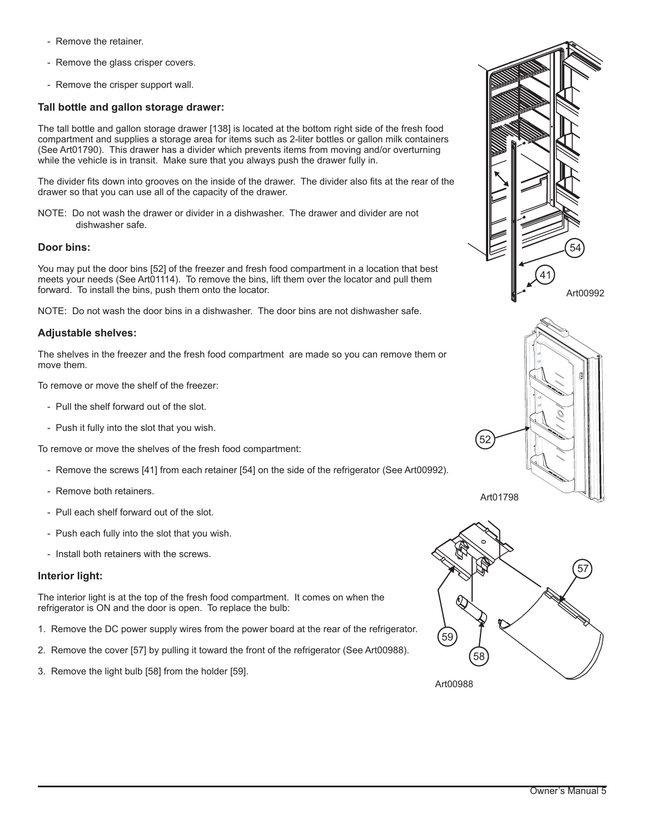- Remove the retainer.
- Remove the glass crisper covers.
- Remove the crisper support wall.

## **Tall bottle and gallon storage drawer:**

The tall bottle and gallon storage drawer [138] is located at the bottom right side of the fresh food compartment and supplies a storage area for items such as 2-liter bottles or gallon milk containers (See Art01790). This drawer has a divider which prevents items from moving and/or overturning while the vehicle is in transit. Make sure that you always push the drawer fully in.

The divider fits down into grooves on the inside of the drawer. The divider also fits at the rear of the drawer so that you can use all of the capacity of the drawer.

NOTE: Do not wash the drawer or divider in a dishwasher. The drawer and divider are not dishwasher safe.

## **Door bins:**

You may put the door bins [52] of the freezer and fresh food compartment in a location that best meets your needs (See Art01114). To remove the bins, lift them over the locator and pull them forward. To install the bins, push them onto the locator.

NOTE: Do not wash the door bins in a dishwasher. The door bins are not dishwasher safe.

## **Adjustable shelves:**

The shelves in the freezer and the fresh food compartment are made so you can remove them or move them.

To remove or move the shelf of the freezer:

- Pull the shelf forward out of the slot.
- Push it fully into the slot that you wish.

To remove or move the shelves of the fresh food compartment:

- Remove the screws [41] from each retainer [54] on the side of the refrigerator (See Art00992).
- Remove both retainers.
- Pull each shelf forward out of the slot.
- Push each fully into the slot that you wish.
- Install both retainers with the screws.

## **Interior light:**

The interior light is at the top of the fresh food compartment. It comes on when the refrigerator is ON and the door is open. To replace the bulb:

- 1. Remove the DC power supply wires from the power board at the rear of the refrigerator.
- 2. Remove the cover [57] by pulling it toward the front of the refrigerator (See Art00988).
- 3. Remove the light bulb [58] from the holder [59].





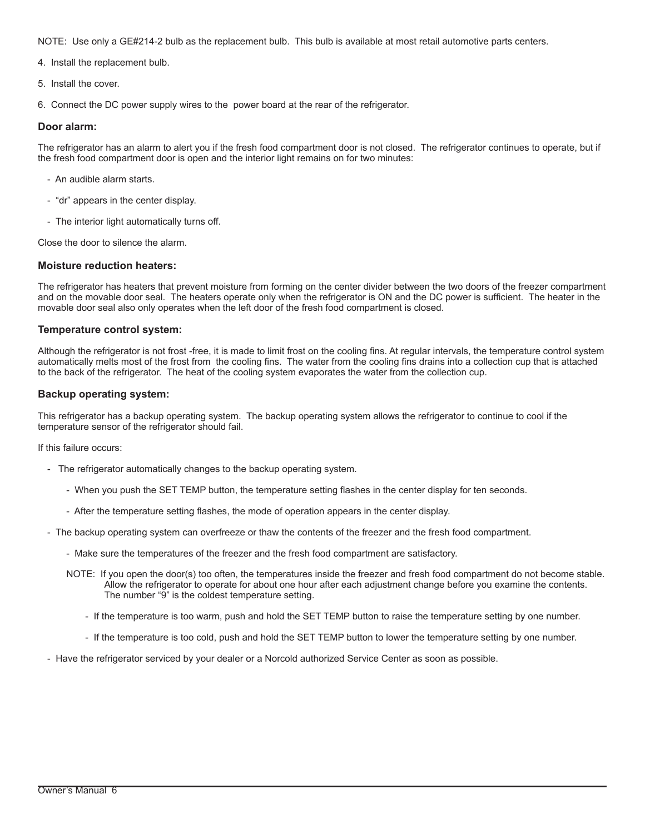NOTE: Use only a GE#214-2 bulb as the replacement bulb. This bulb is available at most retail automotive parts centers.

4. Install the replacement bulb.

5. Install the cover.

6. Connect the DC power supply wires to the power board at the rear of the refrigerator.

## **Door alarm:**

The refrigerator has an alarm to alert you if the fresh food compartment door is not closed. The refrigerator continues to operate, but if the fresh food compartment door is open and the interior light remains on for two minutes:

- An audible alarm starts.
- "dr" appears in the center display.
- The interior light automatically turns off.

Close the door to silence the alarm.

## **Moisture reduction heaters:**

The refrigerator has heaters that prevent moisture from forming on the center divider between the two doors of the freezer compartment and on the movable door seal. The heaters operate only when the refrigerator is ON and the DC power is sufficient. The heater in the movable door seal also only operates when the left door of the fresh food compartment is closed.

## **Temperature control system:**

Although the refrigerator is not frost -free, it is made to limit frost on the cooling fins. At regular intervals, the temperature control system automatically melts most of the frost from the cooling fins. The water from the cooling fins drains into a collection cup that is attached to the back of the refrigerator. The heat of the cooling system evaporates the water from the collection cup.

## **Backup operating system:**

This refrigerator has a backup operating system. The backup operating system allows the refrigerator to continue to cool if the temperature sensor of the refrigerator should fail.

If this failure occurs:

- The refrigerator automatically changes to the backup operating system.
	- When you push the SET TEMP button, the temperature setting flashes in the center display for ten seconds.
	- After the temperature setting flashes, the mode of operation appears in the center display.
- The backup operating system can overfreeze or thaw the contents of the freezer and the fresh food compartment.
	- Make sure the temperatures of the freezer and the fresh food compartment are satisfactory.
	- NOTE: If you open the door(s) too often, the temperatures inside the freezer and fresh food compartment do not become stable. Allow the refrigerator to operate for about one hour after each adjustment change before you examine the contents. The number "9" is the coldest temperature setting.
		- If the temperature is too warm, push and hold the SET TEMP button to raise the temperature setting by one number.
		- If the temperature is too cold, push and hold the SET TEMP button to lower the temperature setting by one number.
- Have the refrigerator serviced by your dealer or a Norcold authorized Service Center as soon as possible.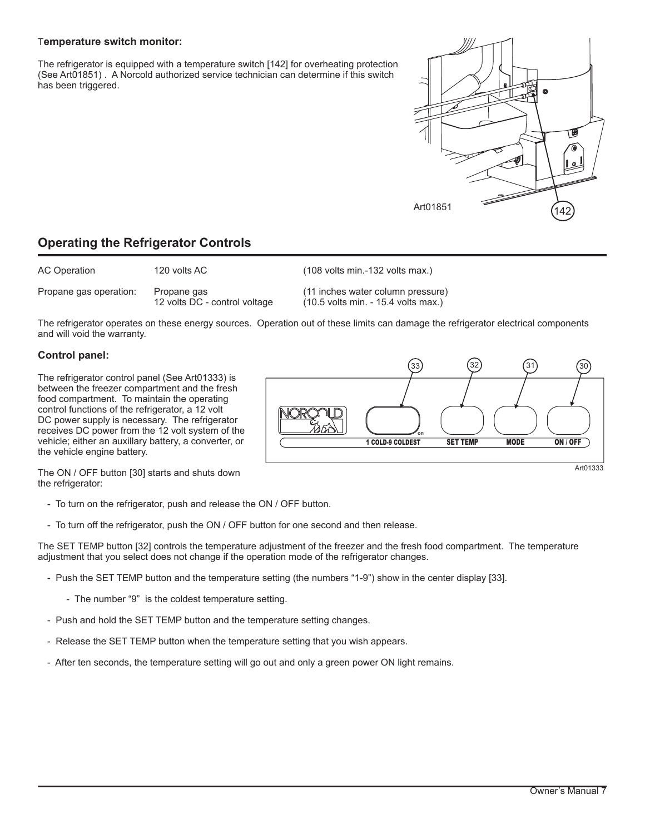## T**emperature switch monitor:**

The refrigerator is equipped with a temperature switch [142] for overheating protection (See Art01851) . A Norcold authorized service technician can determine if this switch has been triggered.

# Art01851 (142

# **Operating the Refrigerator Controls**

| AC Operation           | 120 volts AC                                 | $(108 \text{ volts min} - 132 \text{ volts max.})$                                         |
|------------------------|----------------------------------------------|--------------------------------------------------------------------------------------------|
| Propane gas operation: | Propane gas<br>12 volts DC - control voltage | (11 inches water column pressure)<br>$(10.5 \text{ volts min.} - 15.4 \text{ volts max.})$ |

The refrigerator operates on these energy sources. Operation out of these limits can damage the refrigerator electrical components and will void the warranty.

## **Control panel:**

The refrigerator control panel (See Art01333) is between the freezer compartment and the fresh food compartment. To maintain the operating control functions of the refrigerator, a 12 volt DC power supply is necessary. The refrigerator receives DC power from the 12 volt system of the vehicle; either an auxillary battery, a converter, or the vehicle engine battery.



The ON / OFF button [30] starts and shuts down the refrigerator:

- To turn on the refrigerator, push and release the ON / OFF button.
- To turn off the refrigerator, push the ON / OFF button for one second and then release.

The SET TEMP button [32] controls the temperature adjustment of the freezer and the fresh food compartment. The temperature adjustment that you select does not change if the operation mode of the refrigerator changes.

- Push the SET TEMP button and the temperature setting (the numbers "1-9") show in the center display [33].
	- The number "9" is the coldest temperature setting.
- Push and hold the SET TEMP button and the temperature setting changes.
- Release the SET TEMP button when the temperature setting that you wish appears.
- After ten seconds, the temperature setting will go out and only a green power ON light remains.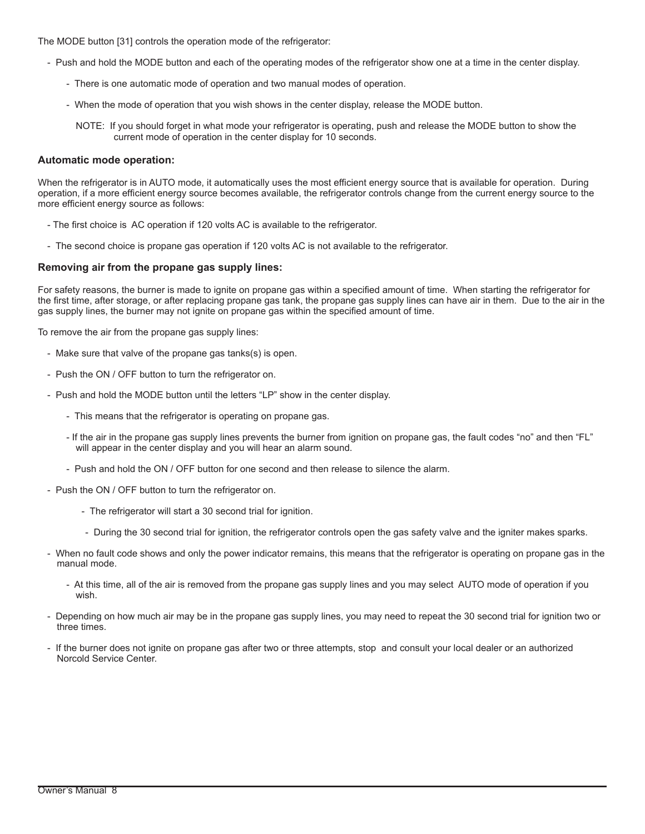The MODE button [31] controls the operation mode of the refrigerator:

- Push and hold the MODE button and each of the operating modes of the refrigerator show one at a time in the center display.
	- There is one automatic mode of operation and two manual modes of operation.
	- When the mode of operation that you wish shows in the center display, release the MODE button.
		- NOTE: If you should forget in what mode your refrigerator is operating, push and release the MODE button to show the current mode of operation in the center display for 10 seconds.

## **Automatic mode operation:**

When the refrigerator is in AUTO mode, it automatically uses the most efficient energy source that is available for operation. During operation, if a more efficient energy source becomes available, the refrigerator controls change from the current energy source to the more efficient energy source as follows:

- The first choice is AC operation if 120 volts AC is available to the refrigerator.
- The second choice is propane gas operation if 120 volts AC is not available to the refrigerator.

## **Removing air from the propane gas supply lines:**

For safety reasons, the burner is made to ignite on propane gas within a specified amount of time. When starting the refrigerator for the first time, after storage, or after replacing propane gas tank, the propane gas supply lines can have air in them. Due to the air in the gas supply lines, the burner may not ignite on propane gas within the specified amount of time.

To remove the air from the propane gas supply lines:

- Make sure that valve of the propane gas tanks(s) is open.
- Push the ON / OFF button to turn the refrigerator on.
- Push and hold the MODE button until the letters "LP" show in the center display.
	- This means that the refrigerator is operating on propane gas.
	- If the air in the propane gas supply lines prevents the burner from ignition on propane gas, the fault codes "no" and then "FL" will appear in the center display and you will hear an alarm sound.
	- Push and hold the ON / OFF button for one second and then release to silence the alarm.
- Push the ON / OFF button to turn the refrigerator on.
	- The refrigerator will start a 30 second trial for ignition.
	- During the 30 second trial for ignition, the refrigerator controls open the gas safety valve and the igniter makes sparks.
- When no fault code shows and only the power indicator remains, this means that the refrigerator is operating on propane gas in the manual mode.
	- At this time, all of the air is removed from the propane gas supply lines and you may select AUTO mode of operation if you wish.
- Depending on how much air may be in the propane gas supply lines, you may need to repeat the 30 second trial for ignition two or three times.
- If the burner does not ignite on propane gas after two or three attempts, stop and consult your local dealer or an authorized Norcold Service Center.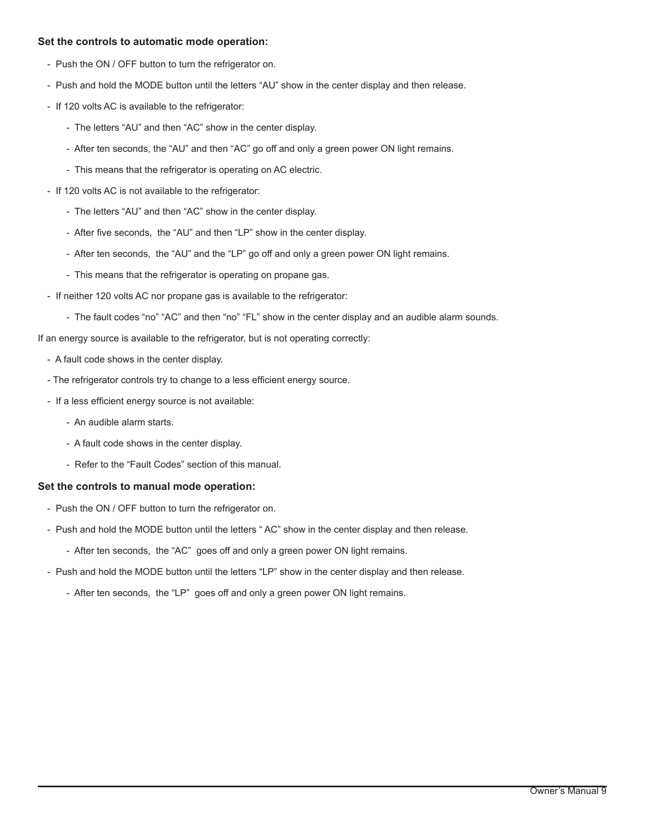## **Set the controls to automatic mode operation:**

- Push the ON / OFF button to turn the refrigerator on.
- Push and hold the MODE button until the letters "AU" show in the center display and then release.
- If 120 volts AC is available to the refrigerator:
	- The letters "AU" and then "AC" show in the center display.
	- After ten seconds, the "AU" and then "AC" go off and only a green power ON light remains.
	- This means that the refrigerator is operating on AC electric.
- If 120 volts AC is not available to the refrigerator:
	- The letters "AU" and then "AC" show in the center display.
	- After five seconds, the "AU" and then "LP" show in the center display.
	- After ten seconds, the "AU" and the "LP" go off and only a green power ON light remains.
	- This means that the refrigerator is operating on propane gas.
- If neither 120 volts AC nor propane gas is available to the refrigerator:
	- The fault codes "no" "AC" and then "no" "FL" show in the center display and an audible alarm sounds.

If an energy source is available to the refrigerator, but is not operating correctly:

- A fault code shows in the center display.
- The refrigerator controls try to change to a less efficient energy source.
- If a less efficient energy source is not available:
	- An audible alarm starts.
	- A fault code shows in the center display.
	- Refer to the "Fault Codes" section of this manual.

## **Set the controls to manual mode operation:**

- Push the ON / OFF button to turn the refrigerator on.
- Push and hold the MODE button until the letters " AC" show in the center display and then release.
	- After ten seconds, the "AC" goes off and only a green power ON light remains.
- Push and hold the MODE button until the letters "LP" show in the center display and then release.
	- After ten seconds, the "LP" goes off and only a green power ON light remains.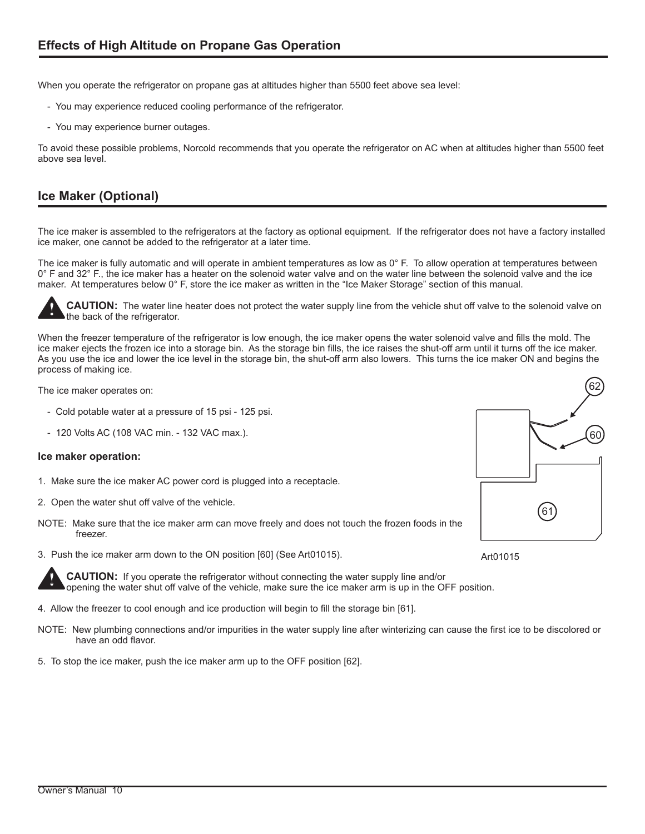When you operate the refrigerator on propane gas at altitudes higher than 5500 feet above sea level:

- You may experience reduced cooling performance of the refrigerator.
- You may experience burner outages.

To avoid these possible problems, Norcold recommends that you operate the refrigerator on AC when at altitudes higher than 5500 feet above sea level.

# **Ice Maker (Optional)**

The ice maker is assembled to the refrigerators at the factory as optional equipment. If the refrigerator does not have a factory installed ice maker, one cannot be added to the refrigerator at a later time.

The ice maker is fully automatic and will operate in ambient temperatures as low as  $0^\circ$  F. To allow operation at temperatures between 0° F and 32° F., the ice maker has a heater on the solenoid water valve and on the water line between the solenoid valve and the ice maker. At temperatures below 0° F, store the ice maker as written in the "Ice Maker Storage" section of this manual.



**!**

**CAUTION:** The water line heater does not protect the water supply line from the vehicle shut off valve to the solenoid valve on the back of the refrigerator.

When the freezer temperature of the refrigerator is low enough, the ice maker opens the water solenoid valve and fills the mold. The ice maker ejects the frozen ice into a storage bin. As the storage bin fills, the ice raises the shut-off arm until it turns off the ice maker. As you use the ice and lower the ice level in the storage bin, the shut-off arm also lowers. This turns the ice maker ON and begins the process of making ice.

The ice maker operates on:

- Cold potable water at a pressure of 15 psi 125 psi.
- 120 Volts AC (108 VAC min. 132 VAC max.).

## **Ice maker operation:**

- 1. Make sure the ice maker AC power cord is plugged into a receptacle.
- 2. Open the water shut off valve of the vehicle.
- NOTE: Make sure that the ice maker arm can move freely and does not touch the frozen foods in the freezer.
- 3. Push the ice maker arm down to the ON position [60] (See Art01015).

**CAUTION:** If you operate the refrigerator without connecting the water supply line and/or opening the water shut off valve of the vehicle, make sure the ice maker arm is up in the OFF position.

- 4. Allow the freezer to cool enough and ice production will begin to fill the storage bin [61].
- NOTE: New plumbing connections and/or impurities in the water supply line after winterizing can cause the first ice to be discolored or have an odd flavor.
- 5. To stop the ice maker, push the ice maker arm up to the OFF position [62].



Art01015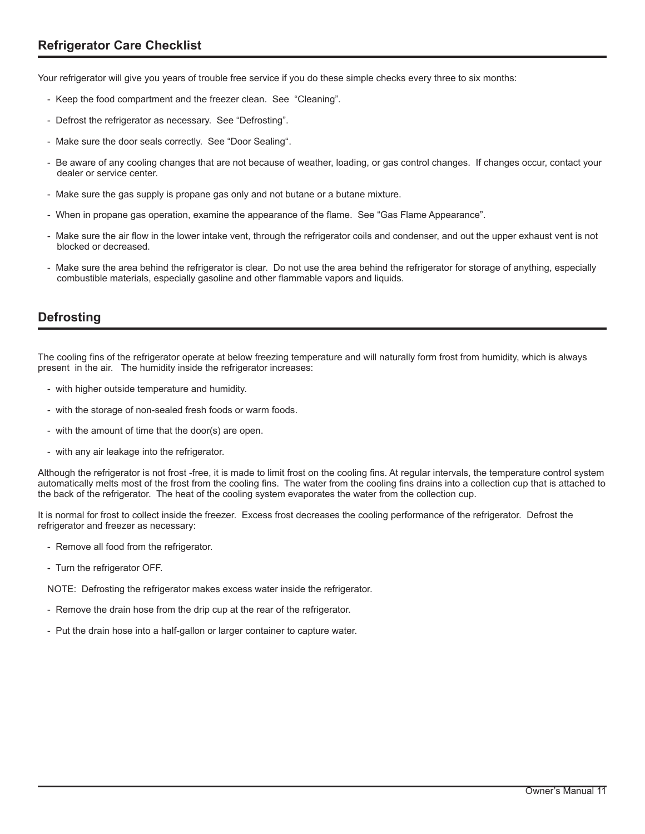Your refrigerator will give you years of trouble free service if you do these simple checks every three to six months:

- Keep the food compartment and the freezer clean. See "Cleaning".
- Defrost the refrigerator as necessary. See "Defrosting".
- Make sure the door seals correctly. See "Door Sealing".
- Be aware of any cooling changes that are not because of weather, loading, or gas control changes. If changes occur, contact your dealer or service center.
- Make sure the gas supply is propane gas only and not butane or a butane mixture.
- When in propane gas operation, examine the appearance of the flame. See "Gas Flame Appearance".
- Make sure the air flow in the lower intake vent, through the refrigerator coils and condenser, and out the upper exhaust vent is not blocked or decreased.
- Make sure the area behind the refrigerator is clear. Do not use the area behind the refrigerator for storage of anything, especially combustible materials, especially gasoline and other flammable vapors and liquids.

# **Defrosting**

The cooling fins of the refrigerator operate at below freezing temperature and will naturally form frost from humidity, which is always present in the air. The humidity inside the refrigerator increases:

- with higher outside temperature and humidity.
- with the storage of non-sealed fresh foods or warm foods.
- with the amount of time that the door(s) are open.
- with any air leakage into the refrigerator.

Although the refrigerator is not frost -free, it is made to limit frost on the cooling fins. At regular intervals, the temperature control system automatically melts most of the frost from the cooling fins. The water from the cooling fins drains into a collection cup that is attached to the back of the refrigerator. The heat of the cooling system evaporates the water from the collection cup.

It is normal for frost to collect inside the freezer. Excess frost decreases the cooling performance of the refrigerator. Defrost the refrigerator and freezer as necessary:

- Remove all food from the refrigerator.
- Turn the refrigerator OFF.

NOTE: Defrosting the refrigerator makes excess water inside the refrigerator.

- Remove the drain hose from the drip cup at the rear of the refrigerator.
- Put the drain hose into a half-gallon or larger container to capture water.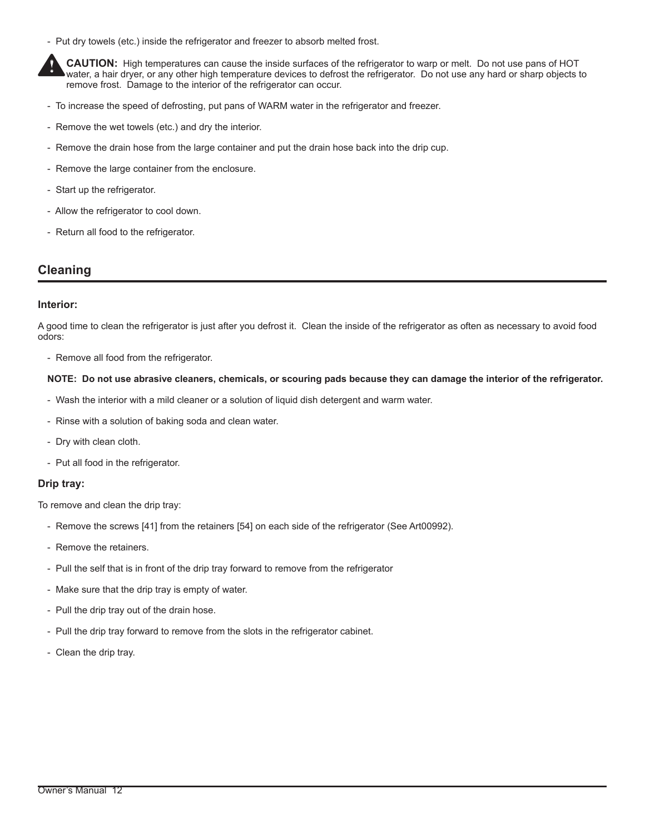- Put dry towels (etc.) inside the refrigerator and freezer to absorb melted frost.

**CAUTION:** High temperatures can cause the inside surfaces of the refrigerator to warp or melt. Do not use pans of HOT water, a hair dryer, or any other high temperature devices to defrost the refrigerator. Do not use any hard or sharp objects to remove frost. Damage to the interior of the refrigerator can occur. **!**

- To increase the speed of defrosting, put pans of WARM water in the refrigerator and freezer.
- Remove the wet towels (etc.) and dry the interior.
- Remove the drain hose from the large container and put the drain hose back into the drip cup.
- Remove the large container from the enclosure.
- Start up the refrigerator.
- Allow the refrigerator to cool down.
- Return all food to the refrigerator.

## **Cleaning**

## **Interior:**

A good time to clean the refrigerator is just after you defrost it. Clean the inside of the refrigerator as often as necessary to avoid food odors:

- Remove all food from the refrigerator.

## **NOTE: Do not use abrasive cleaners, chemicals, or scouring pads because they can damage the interior of the refrigerator.**

- Wash the interior with a mild cleaner or a solution of liquid dish detergent and warm water.
- Rinse with a solution of baking soda and clean water.
- Dry with clean cloth.
- Put all food in the refrigerator.

## **Drip tray:**

To remove and clean the drip tray:

- Remove the screws [41] from the retainers [54] on each side of the refrigerator (See Art00992).
- Remove the retainers.
- Pull the self that is in front of the drip tray forward to remove from the refrigerator
- Make sure that the drip tray is empty of water.
- Pull the drip tray out of the drain hose.
- Pull the drip tray forward to remove from the slots in the refrigerator cabinet.
- Clean the drip tray.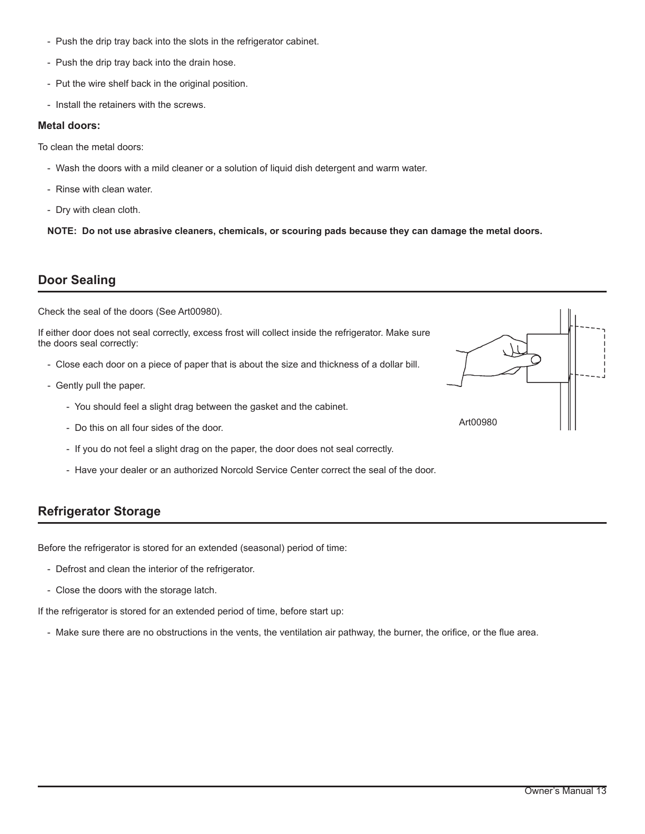- Push the drip tray back into the slots in the refrigerator cabinet.
- Push the drip tray back into the drain hose.
- Put the wire shelf back in the original position.
- Install the retainers with the screws.

## **Metal doors:**

To clean the metal doors:

- Wash the doors with a mild cleaner or a solution of liquid dish detergent and warm water.
- Rinse with clean water.
- Dry with clean cloth.

**NOTE: Do not use abrasive cleaners, chemicals, or scouring pads because they can damage the metal doors.**

# **Door Sealing**

Check the seal of the doors (See Art00980).

If either door does not seal correctly, excess frost will collect inside the refrigerator. Make sure the doors seal correctly:

- Close each door on a piece of paper that is about the size and thickness of a dollar bill.
- Gently pull the paper.
	- You should feel a slight drag between the gasket and the cabinet.
	- Do this on all four sides of the door.
	- If you do not feel a slight drag on the paper, the door does not seal correctly.
	- Have your dealer or an authorized Norcold Service Center correct the seal of the door.

# **Refrigerator Storage**

Before the refrigerator is stored for an extended (seasonal) period of time:

- Defrost and clean the interior of the refrigerator.
- Close the doors with the storage latch.

If the refrigerator is stored for an extended period of time, before start up:

- Make sure there are no obstructions in the vents, the ventilation air pathway, the burner, the orifice, or the flue area.

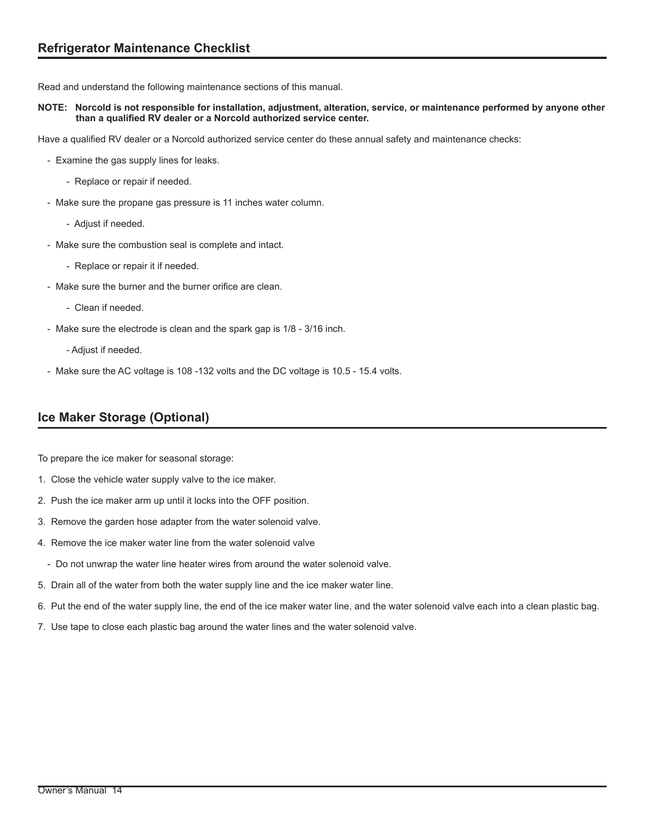Read and understand the following maintenance sections of this manual.

## **NOTE: Norcold is not responsible for installation, adjustment, alteration, service, or maintenance performed by anyone other than a qualified RV dealer or a Norcold authorized service center.**

Have a qualified RV dealer or a Norcold authorized service center do these annual safety and maintenance checks:

- Examine the gas supply lines for leaks.
	- Replace or repair if needed.
- Make sure the propane gas pressure is 11 inches water column.
	- Adjust if needed.
- Make sure the combustion seal is complete and intact.
	- Replace or repair it if needed.
- Make sure the burner and the burner orifice are clean.
	- Clean if needed.
- Make sure the electrode is clean and the spark gap is 1/8 3/16 inch.
	- Adjust if needed.
- Make sure the AC voltage is 108 -132 volts and the DC voltage is 10.5 15.4 volts.

# **Ice Maker Storage (Optional)**

To prepare the ice maker for seasonal storage:

- 1. Close the vehicle water supply valve to the ice maker.
- 2. Push the ice maker arm up until it locks into the OFF position.
- 3. Remove the garden hose adapter from the water solenoid valve.
- 4. Remove the ice maker water line from the water solenoid valve
	- Do not unwrap the water line heater wires from around the water solenoid valve.
- 5. Drain all of the water from both the water supply line and the ice maker water line.
- 6. Put the end of the water supply line, the end of the ice maker water line, and the water solenoid valve each into a clean plastic bag.
- 7. Use tape to close each plastic bag around the water lines and the water solenoid valve.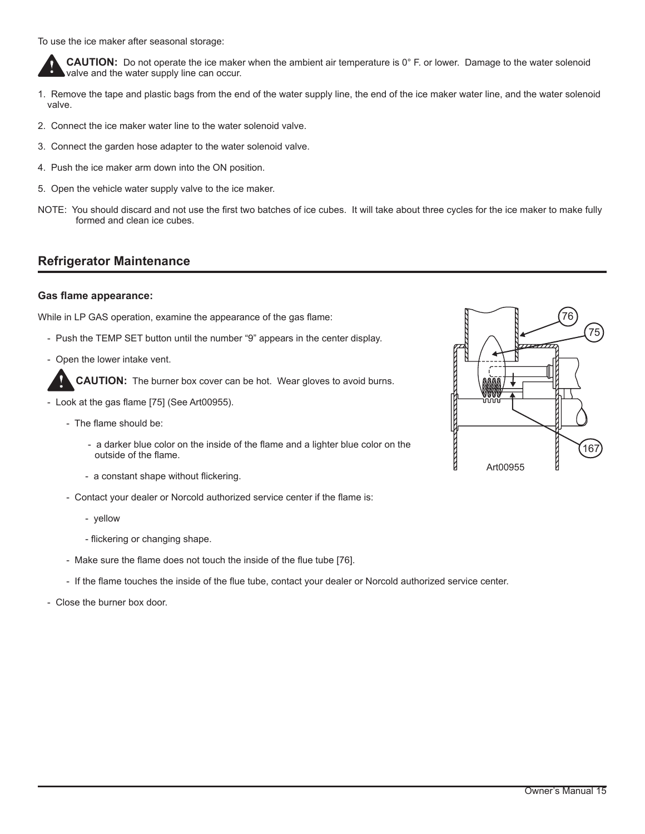To use the ice maker after seasonal storage:

**CAUTION:** Do not operate the ice maker when the ambient air temperature is 0° F. or lower. Damage to the water solenoid valve and the water supply line can occur. **!**

- 1. Remove the tape and plastic bags from the end of the water supply line, the end of the ice maker water line, and the water solenoid valve.
- 2. Connect the ice maker water line to the water solenoid valve.
- 3. Connect the garden hose adapter to the water solenoid valve.
- 4. Push the ice maker arm down into the ON position.
- 5. Open the vehicle water supply valve to the ice maker.
- NOTE: You should discard and not use the first two batches of ice cubes. It will take about three cycles for the ice maker to make fully formed and clean ice cubes.

# **Refrigerator Maintenance**

## **Gas flame appearance:**

**!**

While in LP GAS operation, examine the appearance of the gas flame:

- Push the TEMP SET button until the number "9" appears in the center display.
- Open the lower intake vent.

**CAUTION:** The burner box cover can be hot. Wear gloves to avoid burns.

- Look at the gas flame [75] (See Art00955).
	- The flame should be:
		- a darker blue color on the inside of the flame and a lighter blue color on the outside of the flame.
		- a constant shape without flickering.
	- Contact your dealer or Norcold authorized service center if the flame is:
		- yellow
		- flickering or changing shape.
	- Make sure the flame does not touch the inside of the flue tube [76].
	- If the flame touches the inside of the flue tube, contact your dealer or Norcold authorized service center.
- Close the burner box door.

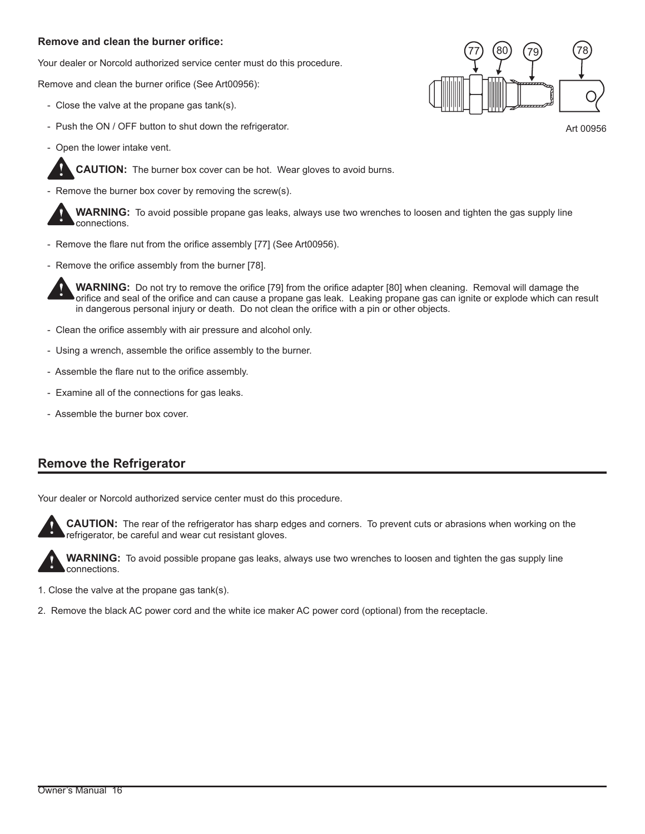## **Remove and clean the burner orifice:**

Your dealer or Norcold authorized service center must do this procedure.

Remove and clean the burner orifice (See Art00956):

- Close the valve at the propane gas tank(s).
- Push the ON / OFF button to shut down the refrigerator.
- Open the lower intake vent.

**!**

**CAUTION:** The burner box cover can be hot. Wear gloves to avoid burns.

Remove the burner box cover by removing the screw(s).

**WARNING:** To avoid possible propane gas leaks, always use two wrenches to loosen and tighten the gas supply line connections. **!**

- Remove the flare nut from the orifice assembly [77] (See Art00956).
- Remove the orifice assembly from the burner [78].

**WARNING:** Do not try to remove the orifice [79] from the orifice adapter [80] when cleaning. Removal will damage the orifice and seal of the orifice and can cause a propane gas leak. Leaking propane gas can ignite or explode which can result in dangerous personal injury or death. Do not clean the orifice with a pin or other objects. **!**

- Clean the orifice assembly with air pressure and alcohol only.
- Using a wrench, assemble the orifice assembly to the burner.
- Assemble the flare nut to the orifice assembly.
- Examine all of the connections for gas leaks.
- Assemble the burner box cover.

# **Remove the Refrigerator**

Your dealer or Norcold authorized service center must do this procedure.



**CAUTION:** The rear of the refrigerator has sharp edges and corners. To prevent cuts or abrasions when working on the refrigerator, be careful and wear cut resistant gloves.



**WARNING:** To avoid possible propane gas leaks, always use two wrenches to loosen and tighten the gas supply line connections.

- 1. Close the valve at the propane gas tank(s).
- 2. Remove the black AC power cord and the white ice maker AC power cord (optional) from the receptacle.



Art 00956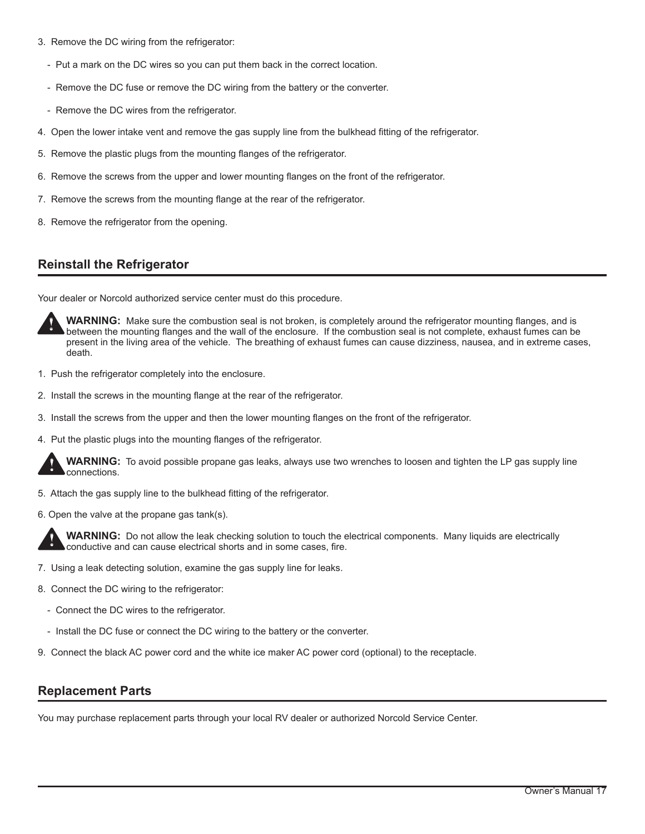- 3. Remove the DC wiring from the refrigerator:
	- Put a mark on the DC wires so you can put them back in the correct location.
	- Remove the DC fuse or remove the DC wiring from the battery or the converter.
	- Remove the DC wires from the refrigerator.
- 4. Open the lower intake vent and remove the gas supply line from the bulkhead fitting of the refrigerator.
- 5. Remove the plastic plugs from the mounting flanges of the refrigerator.
- 6. Remove the screws from the upper and lower mounting flanges on the front of the refrigerator.
- 7. Remove the screws from the mounting flange at the rear of the refrigerator.
- 8. Remove the refrigerator from the opening.

# **Reinstall the Refrigerator**

Your dealer or Norcold authorized service center must do this procedure.



**WARNING:** Make sure the combustion seal is not broken, is completely around the refrigerator mounting flanges, and is between the mounting flanges and the wall of the enclosure. If the combustion seal is not complete, exhaust fumes can be present in the living area of the vehicle. The breathing of exhaust fumes can cause dizziness, nausea, and in extreme cases, death.

- 1. Push the refrigerator completely into the enclosure.
- 2. Install the screws in the mounting flange at the rear of the refrigerator.
- 3. Install the screws from the upper and then the lower mounting flanges on the front of the refrigerator.
- 4. Put the plastic plugs into the mounting flanges of the refrigerator.



**WARNING:** To avoid possible propane gas leaks, always use two wrenches to loosen and tighten the LP gas supply line connections.

- 5. Attach the gas supply line to the bulkhead fitting of the refrigerator.
- 6. Open the valve at the propane gas tank(s).



**WARNING:** Do not allow the leak checking solution to touch the electrical components. Many liquids are electrically conductive and can cause electrical shorts and in some cases, fire.

- 7. Using a leak detecting solution, examine the gas supply line for leaks.
- 8. Connect the DC wiring to the refrigerator:
	- Connect the DC wires to the refrigerator.
	- Install the DC fuse or connect the DC wiring to the battery or the converter.
- 9. Connect the black AC power cord and the white ice maker AC power cord (optional) to the receptacle.

# **Replacement Parts**

You may purchase replacement parts through your local RV dealer or authorized Norcold Service Center.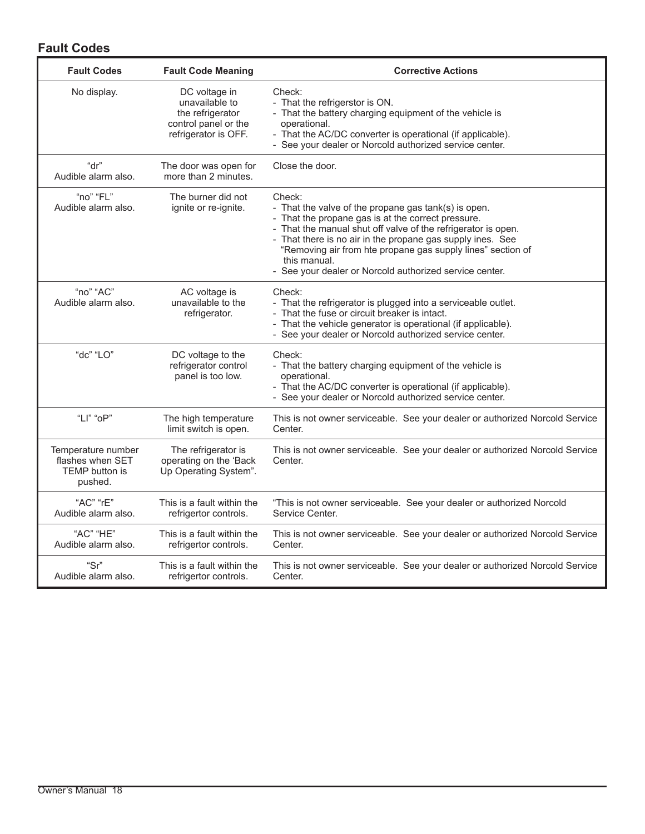# **Fault Codes**

| <b>Fault Codes</b>                                                         | <b>Fault Code Meaning</b>                                                                           | <b>Corrective Actions</b>                                                                                                                                                                                                                                                                                                                                                                     |
|----------------------------------------------------------------------------|-----------------------------------------------------------------------------------------------------|-----------------------------------------------------------------------------------------------------------------------------------------------------------------------------------------------------------------------------------------------------------------------------------------------------------------------------------------------------------------------------------------------|
| No display.                                                                | DC voltage in<br>unavailable to<br>the refrigerator<br>control panel or the<br>refrigerator is OFF. | Check:<br>- That the refrigerstor is ON.<br>- That the battery charging equipment of the vehicle is<br>operational.<br>- That the AC/DC converter is operational (if applicable).<br>- See your dealer or Norcold authorized service center.                                                                                                                                                  |
| "dr"<br>Audible alarm also.                                                | The door was open for<br>more than 2 minutes.                                                       | Close the door.                                                                                                                                                                                                                                                                                                                                                                               |
| "no" "FL"<br>Audible alarm also.                                           | The burner did not<br>ignite or re-ignite.                                                          | Check:<br>- That the valve of the propane gas tank(s) is open.<br>- That the propane gas is at the correct pressure.<br>- That the manual shut off valve of the refrigerator is open.<br>- That there is no air in the propane gas supply ines. See<br>"Removing air from hte propane gas supply lines" section of<br>this manual.<br>- See your dealer or Norcold authorized service center. |
| "no" "AC"<br>Audible alarm also.                                           | AC voltage is<br>unavailable to the<br>refrigerator.                                                | Check:<br>- That the refrigerator is plugged into a serviceable outlet.<br>- That the fuse or circuit breaker is intact.<br>- That the vehicle generator is operational (if applicable).<br>- See your dealer or Norcold authorized service center.                                                                                                                                           |
| "dc" "LO"                                                                  | DC voltage to the<br>refrigerator control<br>panel is too low.                                      | Check:<br>- That the battery charging equipment of the vehicle is<br>operational.<br>- That the AC/DC converter is operational (if applicable).<br>- See your dealer or Norcold authorized service center.                                                                                                                                                                                    |
| "LI" "oP"                                                                  | The high temperature<br>limit switch is open.                                                       | This is not owner serviceable. See your dealer or authorized Norcold Service<br>Center.                                                                                                                                                                                                                                                                                                       |
| Temperature number<br>flashes when SET<br><b>TEMP</b> button is<br>pushed. | The refrigerator is<br>operating on the 'Back<br>Up Operating System".                              | This is not owner serviceable. See your dealer or authorized Norcold Service<br>Center.                                                                                                                                                                                                                                                                                                       |
| "AC" "rE"<br>Audible alarm also.                                           | This is a fault within the<br>refrigertor controls.                                                 | "This is not owner serviceable. See your dealer or authorized Norcold<br>Service Center.                                                                                                                                                                                                                                                                                                      |
| "AC" "HE"<br>Audible alarm also.                                           | This is a fault within the<br>refrigertor controls.                                                 | This is not owner serviceable. See your dealer or authorized Norcold Service<br>Center.                                                                                                                                                                                                                                                                                                       |
| "Sr"<br>Audible alarm also.                                                | This is a fault within the<br>refrigertor controls.                                                 | This is not owner serviceable. See your dealer or authorized Norcold Service<br>Center.                                                                                                                                                                                                                                                                                                       |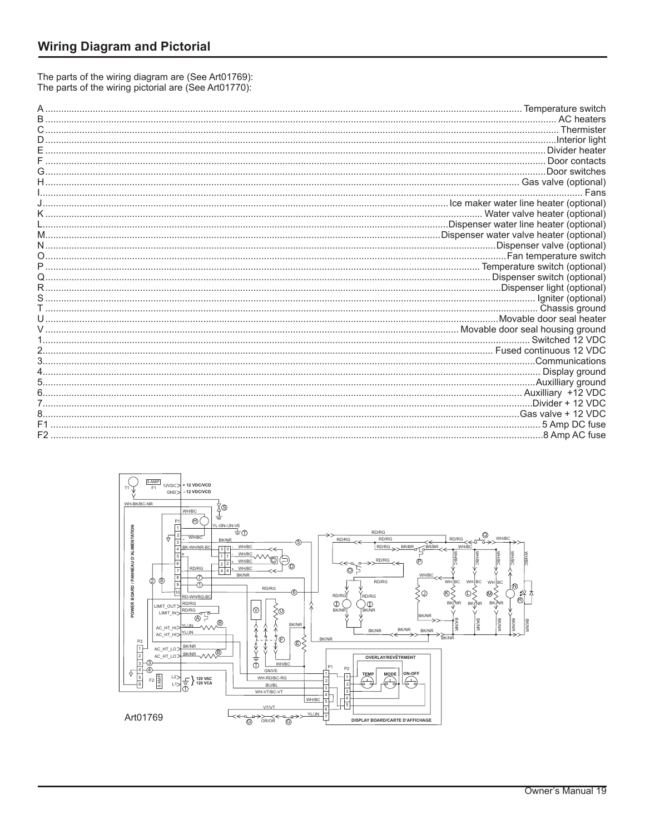The parts of the wiring diagram are (See Art01769):<br>The parts of the wiring pictorial are (See Art01770):

|                                                              | Thermister                    |
|--------------------------------------------------------------|-------------------------------|
|                                                              |                               |
|                                                              | . Divider heater              |
|                                                              | Door contacts                 |
|                                                              | Door switches                 |
|                                                              |                               |
|                                                              | Fans                          |
| continuum contract in the maker water line heater (optional) |                               |
|                                                              | Water valve heater (optional) |
|                                                              |                               |
|                                                              |                               |
|                                                              |                               |
|                                                              |                               |
|                                                              |                               |
|                                                              |                               |
|                                                              |                               |
|                                                              |                               |
|                                                              | Chassis ground                |
|                                                              |                               |
|                                                              |                               |
|                                                              | Switched 12 VDC               |
|                                                              |                               |
|                                                              |                               |
|                                                              |                               |
|                                                              | Auxilliary +12 VDC            |
|                                                              | .Divider + 12 VDC             |
|                                                              | Gas valve + 12 VDC            |
|                                                              | 5 Amp DC fuse                 |
| F <sub>2</sub>                                               |                               |
|                                                              |                               |

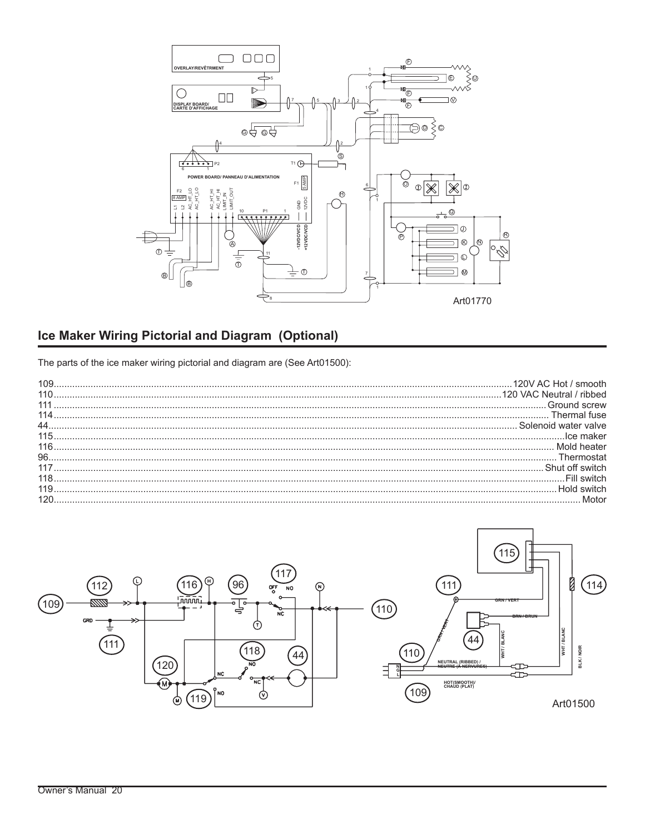

# **Ice Maker Wiring Pictorial and Diagram (Optional)**

The parts of the ice maker wiring pictorial and diagram are (See Art01500):

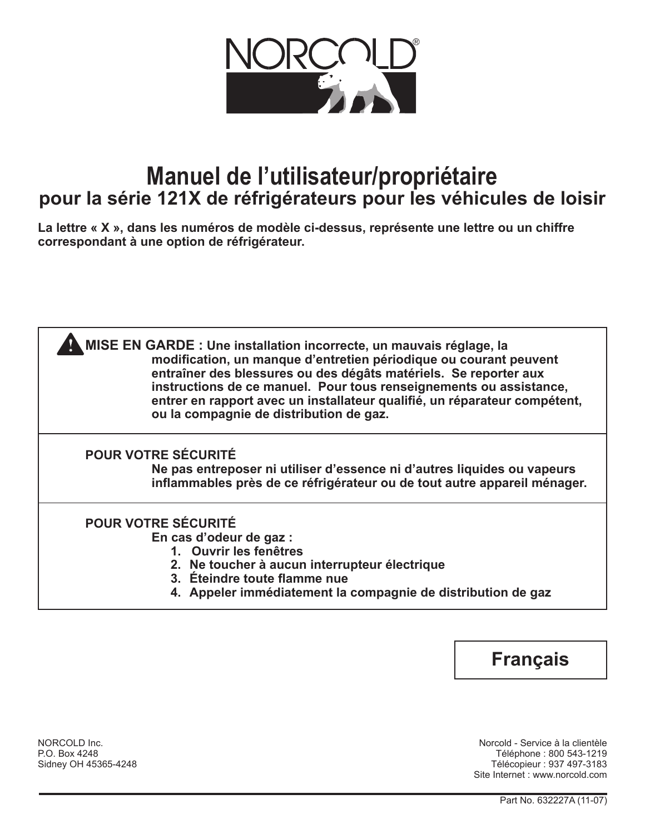

# **Manuel de l'utilisateur/propriétaire pour la série 121X de réfrigérateurs pour les véhicules de loisir**

**La lettre « X », dans les numéros de modèle ci-dessus, représente une lettre ou un chiffre correspondant à une option de réfrigérateur.**

| MISE EN GARDE : Une installation incorrecte, un mauvais réglage, la<br>modification, un manque d'entretien périodique ou courant peuvent<br>entraîner des blessures ou des dégâts matériels. Se reporter aux<br>instructions de ce manuel. Pour tous renseignements ou assistance,<br>entrer en rapport avec un installateur qualifié, un réparateur compétent,<br>ou la compagnie de distribution de gaz. |
|------------------------------------------------------------------------------------------------------------------------------------------------------------------------------------------------------------------------------------------------------------------------------------------------------------------------------------------------------------------------------------------------------------|
| <b>POUR VOTRE SÉCURITÉ</b><br>Ne pas entreposer ni utiliser d'essence ni d'autres liquides ou vapeurs<br>inflammables près de ce réfrigérateur ou de tout autre appareil ménager.                                                                                                                                                                                                                          |
| <b>POUR VOTRE SÉCURITÉ</b><br>En cas d'odeur de gaz :<br>1. Ouvrir les fenêtres<br>2. Ne toucher à aucun interrupteur électrique<br>3. Éteindre toute flamme nue<br>4. Appeler immédiatement la compagnie de distribution de gaz                                                                                                                                                                           |

# **Français**

NORCOLD Inc. Norcold - Service à la clientèle P.O. Box 4248 Téléphone : 800 543-1219 Télécopieur : 937 497-3183 Site Internet : www.norcold.com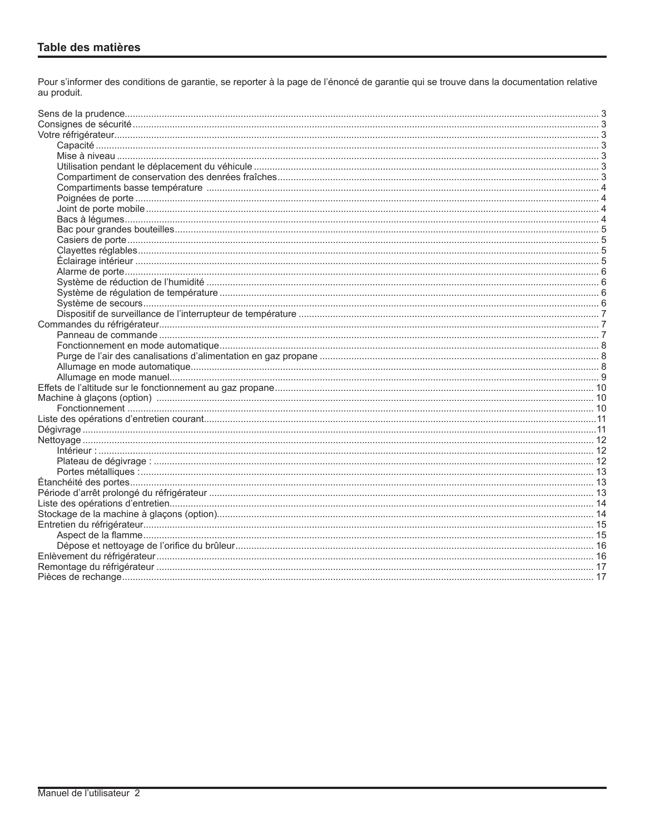Pour s'informer des conditions de garantie, se reporter à la page de l'énoncé de garantie qui se trouve dans la documentation relative au produit.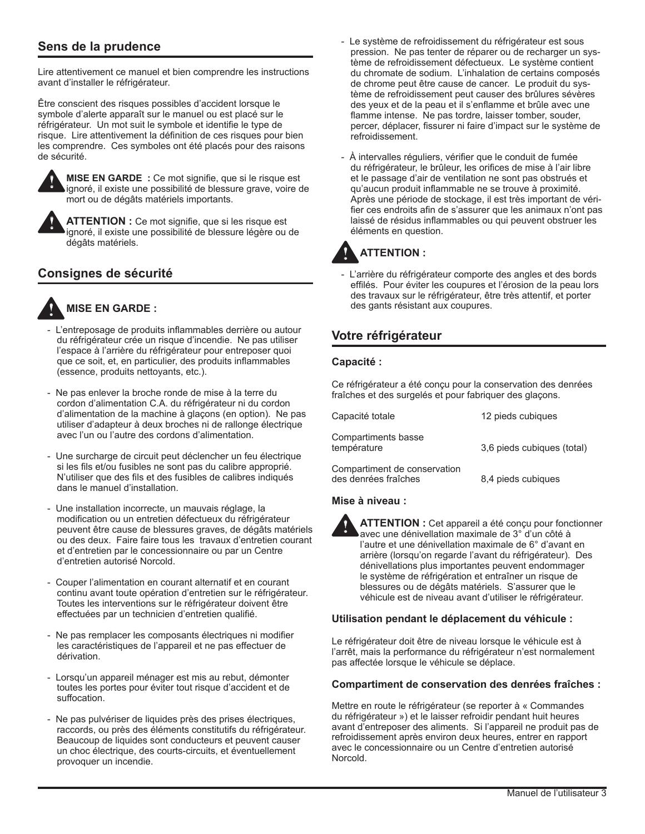# **Sens de la prudence**

Lire attentivement ce manuel et bien comprendre les instructions avant d'installer le réfrigérateur.

Être conscient des risques possibles d'accident lorsque le symbole d'alerte apparaît sur le manuel ou est placé sur le réfrigérateur. Un mot suit le symbole et identifie le type de risque. Lire attentivement la définition de ces risques pour bien les comprendre. Ces symboles ont été placés pour des raisons de sécurité.



**MISE EN GARDE :** Ce mot signifie, que si le risque est ignoré, il existe une possibilité de blessure grave, voire de mort ou de dégâts matériels importants.



**ATTENTION :** Ce mot signifie, que si les risque est ignoré, il existe une possibilité de blessure légère ou de dégâts matériels.

# **Consignes de sécurité**



# **MISE EN GARDE :**

- L'entreposage de produits inflammables derrière ou autour du réfrigérateur crée un risque d'incendie. Ne pas utiliser l'espace à l'arrière du réfrigérateur pour entreposer quoi que ce soit, et, en particulier, des produits inflammables (essence, produits nettoyants, etc.).
- Ne pas enlever la broche ronde de mise à la terre du cordon d'alimentation C.A. du réfrigérateur ni du cordon d'alimentation de la machine à glaçons (en option). Ne pas utiliser d'adapteur à deux broches ni de rallonge électrique avec l'un ou l'autre des cordons d'alimentation.
- Une surcharge de circuit peut déclencher un feu électrique si les fils et/ou fusibles ne sont pas du calibre approprié. N'utiliser que des fils et des fusibles de calibres indiqués dans le manuel d'installation.
- Une installation incorrecte, un mauvais réglage, la modification ou un entretien défectueux du réfrigérateur peuvent être cause de blessures graves, de dégâts matériels ou des deux. Faire faire tous les travaux d'entretien courant et d'entretien par le concessionnaire ou par un Centre d'entretien autorisé Norcold.
- Couper l'alimentation en courant alternatif et en courant continu avant toute opération d'entretien sur le réfrigérateur. Toutes les interventions sur le réfrigérateur doivent être effectuées par un technicien d'entretien qualifié.
- Ne pas remplacer les composants électriques ni modifier les caractéristiques de l'appareil et ne pas effectuer de dérivation.
- Lorsqu'un appareil ménager est mis au rebut, démonter toutes les portes pour éviter tout risque d'accident et de suffocation.
- Ne pas pulvériser de liquides près des prises électriques, raccords, ou près des éléments constitutifs du réfrigérateur. Beaucoup de liquides sont conducteurs et peuvent causer un choc électrique, des courts-circuits, et éventuellement provoquer un incendie.
- Le système de refroidissement du réfrigérateur est sous pression. Ne pas tenter de réparer ou de recharger un système de refroidissement défectueux. Le système contient du chromate de sodium. L'inhalation de certains composés de chrome peut être cause de cancer. Le produit du système de refroidissement peut causer des brûlures sévères des yeux et de la peau et il s'enflamme et brûle avec une flamme intense. Ne pas tordre, laisser tomber, souder, percer, déplacer, fissurer ni faire d'impact sur le système de refroidissement.
- À intervalles réguliers, vérifier que le conduit de fumée du réfrigérateur, le brûleur, les orifices de mise à l'air libre et le passage d'air de ventilation ne sont pas obstrués et qu'aucun produit inflammable ne se trouve à proximité. Après une période de stockage, il est très important de vérifier ces endroits afin de s'assurer que les animaux n'ont pas laissé de résidus inflammables ou qui peuvent obstruer les éléments en question.

## **ATTENTION : !**

- L'arrière du réfrigérateur comporte des angles et des bords effilés. Pour éviter les coupures et l'érosion de la peau lors des travaux sur le réfrigérateur, être très attentif, et porter des gants résistant aux coupures.

# **Votre réfrigérateur**

## **Capacité :**

Ce réfrigérateur a été conçu pour la conservation des denrées fraîches et des surgelés et pour fabriquer des glaçons.

| Capacité totale                                      | 12 pieds cubiques          |
|------------------------------------------------------|----------------------------|
| Compartiments basse<br>température                   | 3.6 pieds cubiques (total) |
| Compartiment de conservation<br>des denrées fraîches | 8,4 pieds cubiques         |

## **Mise à niveau :**

**!**

**ATTENTION :** Cet appareil a été conçu pour fonctionner avec une dénivellation maximale de 3° d'un côté à l'autre et une dénivellation maximale de 6° d'avant en arrière (lorsqu'on regarde l'avant du réfrigérateur). Des dénivellations plus importantes peuvent endommager le système de réfrigération et entraîner un risque de blessures ou de dégâts matériels. S'assurer que le véhicule est de niveau avant d'utiliser le réfrigérateur.

## **Utilisation pendant le déplacement du véhicule :**

Le réfrigérateur doit être de niveau lorsque le véhicule est à l'arrêt, mais la performance du réfrigérateur n'est normalement pas affectée lorsque le véhicule se déplace.

## **Compartiment de conservation des denrées fraîches :**

Mettre en route le réfrigérateur (se reporter à « Commandes du réfrigérateur ») et le laisser refroidir pendant huit heures avant d'entreposer des aliments. Si l'appareil ne produit pas de refroidissement après environ deux heures, entrer en rapport avec le concessionnaire ou un Centre d'entretien autorisé Norcold.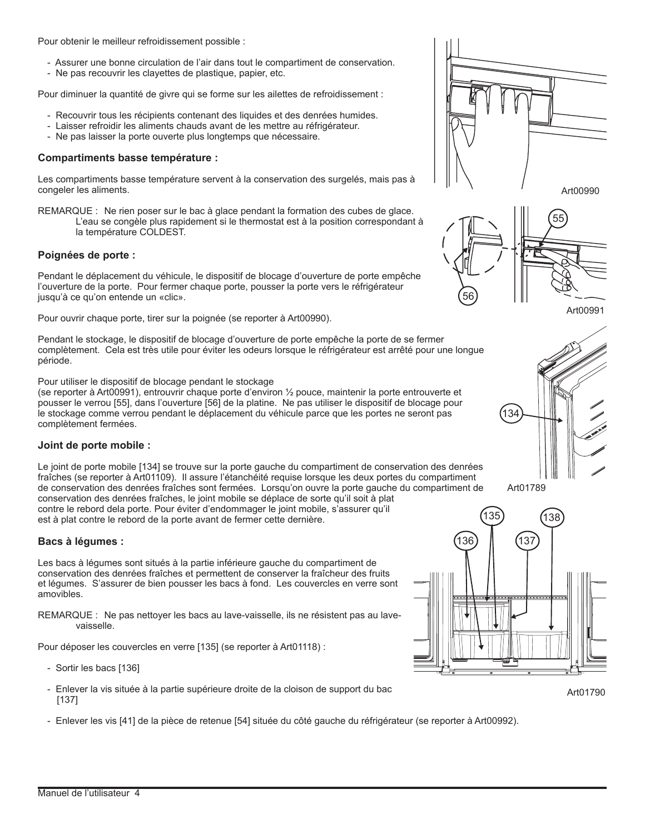Pour obtenir le meilleur refroidissement possible :

- Assurer une bonne circulation de l'air dans tout le compartiment de conservation.
- Ne pas recouvrir les clayettes de plastique, papier, etc.

Pour diminuer la quantité de givre qui se forme sur les ailettes de refroidissement :

- Recouvrir tous les récipients contenant des liquides et des denrées humides.
- Laisser refroidir les aliments chauds avant de les mettre au réfrigérateur.
- Ne pas laisser la porte ouverte plus longtemps que nécessaire.

## **Compartiments basse température :**

Les compartiments basse température servent à la conservation des surgelés, mais pas à congeler les aliments.

REMARQUE : Ne rien poser sur le bac à glace pendant la formation des cubes de glace. L'eau se congèle plus rapidement si le thermostat est à la position correspondant à la température COLDEST.

## **Poignées de porte :**

Pendant le déplacement du véhicule, le dispositif de blocage d'ouverture de porte empêche l'ouverture de la porte. Pour fermer chaque porte, pousser la porte vers le réfrigérateur jusqu'à ce qu'on entende un «clic».

Pour ouvrir chaque porte, tirer sur la poignée (se reporter à Art00990).

Pendant le stockage, le dispositif de blocage d'ouverture de porte empêche la porte de se fermer complètement. Cela est très utile pour éviter les odeurs lorsque le réfrigérateur est arrêté pour une longue période.

Pour utiliser le dispositif de blocage pendant le stockage

(se reporter à Art00991), entrouvrir chaque porte d'environ ½ pouce, maintenir la porte entrouverte et pousser le verrou [55], dans l'ouverture [56] de la platine. Ne pas utiliser le dispositif de blocage pour le stockage comme verrou pendant le déplacement du véhicule parce que les portes ne seront pas complètement fermées.

## **Joint de porte mobile :**

Le joint de porte mobile [134] se trouve sur la porte gauche du compartiment de conservation des denrées fraîches (se reporter à Art01109). Il assure l'étanchéité requise lorsque les deux portes du compartiment de conservation des denrées fraîches sont fermées. Lorsqu'on ouvre la porte gauche du compartiment de conservation des denrées fraîches, le joint mobile se déplace de sorte qu'il soit à plat contre le rebord dela porte. Pour éviter d'endommager le joint mobile, s'assurer qu'il est à plat contre le rebord de la porte avant de fermer cette dernière.

**Bacs à légumes :**

Les bacs à légumes sont situés à la partie inférieure gauche du compartiment de conservation des denrées fraîches et permettent de conserver la fraîcheur des fruits et légumes. S'assurer de bien pousser les bacs à fond. Les couvercles en verre sont amovibles.

REMARQUE : Ne pas nettoyer les bacs au lave-vaisselle, ils ne résistent pas au lavevaisselle.

Pour déposer les couvercles en verre [135] (se reporter à Art01118) :

- Sortir les bacs [136]
- Enlever la vis située à la partie supérieure droite de la cloison de support du bac [137]
- Enlever les vis [41] de la pièce de retenue [54] située du côté gauche du réfrigérateur (se reporter à Art00992).



Art00990









Art01790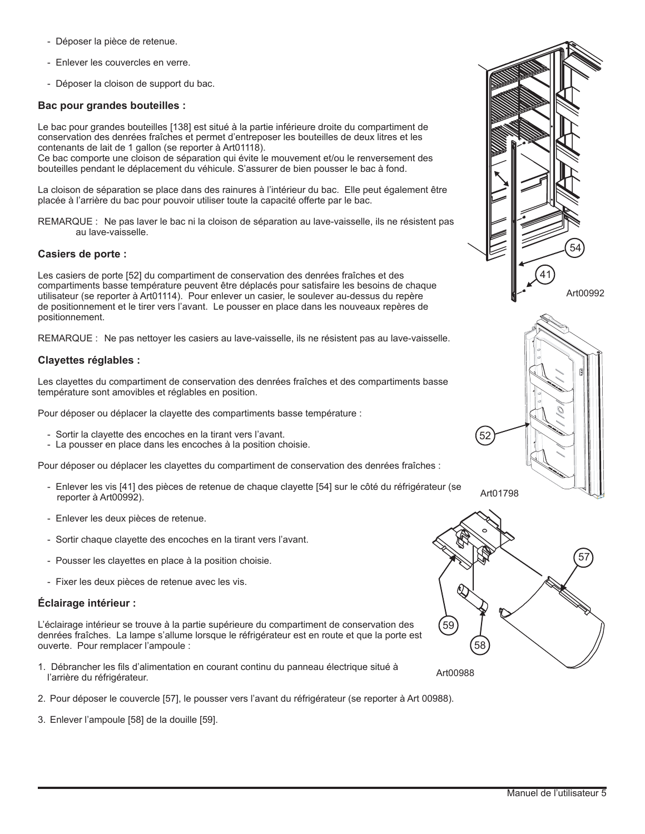- Déposer la pièce de retenue.
- Enlever les couvercles en verre.
- Déposer la cloison de support du bac.

## **Bac pour grandes bouteilles :**

Le bac pour grandes bouteilles [138] est situé à la partie inférieure droite du compartiment de conservation des denrées fraîches et permet d'entreposer les bouteilles de deux litres et les contenants de lait de 1 gallon (se reporter à Art01118).

Ce bac comporte une cloison de séparation qui évite le mouvement et/ou le renversement des bouteilles pendant le déplacement du véhicule. S'assurer de bien pousser le bac à fond.

La cloison de séparation se place dans des rainures à l'intérieur du bac. Elle peut également être placée à l'arrière du bac pour pouvoir utiliser toute la capacité offerte par le bac.

REMARQUE : Ne pas laver le bac ni la cloison de séparation au lave-vaisselle, ils ne résistent pas au lave-vaisselle.

## **Casiers de porte :**

Les casiers de porte [52] du compartiment de conservation des denrées fraîches et des compartiments basse température peuvent être déplacés pour satisfaire les besoins de chaque utilisateur (se reporter à Art01114). Pour enlever un casier, le soulever au-dessus du repère de positionnement et le tirer vers l'avant. Le pousser en place dans les nouveaux repères de positionnement.

REMARQUE : Ne pas nettoyer les casiers au lave-vaisselle, ils ne résistent pas au lave-vaisselle.

## **Clayettes réglables :**

Les clayettes du compartiment de conservation des denrées fraîches et des compartiments basse température sont amovibles et réglables en position.

Pour déposer ou déplacer la clayette des compartiments basse température :

- Sortir la clayette des encoches en la tirant vers l'avant.
- La pousser en place dans les encoches à la position choisie.

Pour déposer ou déplacer les clayettes du compartiment de conservation des denrées fraîches :

- Enlever les vis [41] des pièces de retenue de chaque clayette [54] sur le côté du réfrigérateur (se reporter à Art00992).
- Enlever les deux pièces de retenue.
- Sortir chaque clayette des encoches en la tirant vers l'avant.
- Pousser les clayettes en place à la position choisie.
- Fixer les deux pièces de retenue avec les vis.

## **Éclairage intérieur :**

L'éclairage intérieur se trouve à la partie supérieure du compartiment de conservation des denrées fraîches. La lampe s'allume lorsque le réfrigérateur est en route et que la porte est ouverte. Pour remplacer l'ampoule :

- 1. Débrancher les fils d'alimentation en courant continu du panneau électrique situé à l'arrière du réfrigérateur.
- 2. Pour déposer le couvercle [57], le pousser vers l'avant du réfrigérateur (se reporter à Art 00988).
- 3. Enlever l'ampoule [58] de la douille [59].





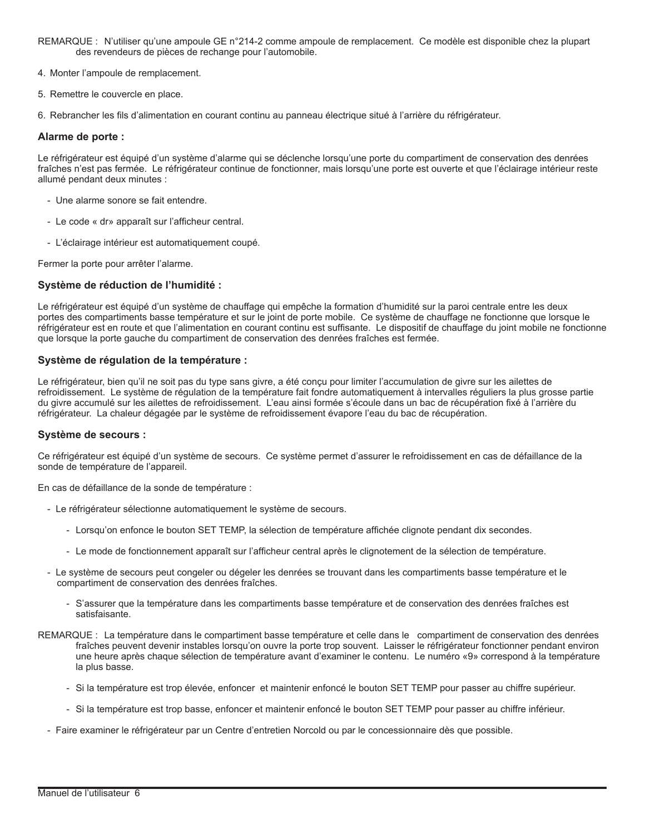- REMARQUE : N'utiliser qu'une ampoule GE n°214-2 comme ampoule de remplacement. Ce modèle est disponible chez la plupart des revendeurs de pièces de rechange pour l'automobile.
- 4. Monter l'ampoule de remplacement.
- 5. Remettre le couvercle en place.

6. Rebrancher les fils d'alimentation en courant continu au panneau électrique situé à l'arrière du réfrigérateur.

## **Alarme de porte :**

Le réfrigérateur est équipé d'un système d'alarme qui se déclenche lorsqu'une porte du compartiment de conservation des denrées fraîches n'est pas fermée. Le réfrigérateur continue de fonctionner, mais lorsqu'une porte est ouverte et que l'éclairage intérieur reste allumé pendant deux minutes :

- Une alarme sonore se fait entendre.
- Le code « dr» apparaît sur l'afficheur central.
- L'éclairage intérieur est automatiquement coupé.

Fermer la porte pour arrêter l'alarme.

## **Système de réduction de l'humidité :**

Le réfrigérateur est équipé d'un système de chauffage qui empêche la formation d'humidité sur la paroi centrale entre les deux portes des compartiments basse température et sur le joint de porte mobile. Ce système de chauffage ne fonctionne que lorsque le réfrigérateur est en route et que l'alimentation en courant continu est suffisante. Le dispositif de chauffage du joint mobile ne fonctionne que lorsque la porte gauche du compartiment de conservation des denrées fraîches est fermée.

## **Système de régulation de la température :**

Le réfrigérateur, bien qu'il ne soit pas du type sans givre, a été conçu pour limiter l'accumulation de givre sur les ailettes de refroidissement. Le système de régulation de la température fait fondre automatiquement à intervalles réguliers la plus grosse partie du givre accumulé sur les ailettes de refroidissement. L'eau ainsi formée s'écoule dans un bac de récupération fixé à l'arrière du réfrigérateur. La chaleur dégagée par le système de refroidissement évapore l'eau du bac de récupération.

## **Système de secours :**

Ce réfrigérateur est équipé d'un système de secours. Ce système permet d'assurer le refroidissement en cas de défaillance de la sonde de température de l'appareil.

En cas de défaillance de la sonde de température :

- Le réfrigérateur sélectionne automatiquement le système de secours.
	- Lorsqu'on enfonce le bouton SET TEMP, la sélection de température affichée clignote pendant dix secondes.
	- Le mode de fonctionnement apparaît sur l'afficheur central après le clignotement de la sélection de température.
- Le système de secours peut congeler ou dégeler les denrées se trouvant dans les compartiments basse température et le compartiment de conservation des denrées fraîches.
	- S'assurer que la température dans les compartiments basse température et de conservation des denrées fraîches est satisfaisante.
- REMARQUE : La température dans le compartiment basse température et celle dans le compartiment de conservation des denrées fraîches peuvent devenir instables lorsqu'on ouvre la porte trop souvent. Laisser le réfrigérateur fonctionner pendant environ une heure après chaque sélection de température avant d'examiner le contenu. Le numéro «9» correspond à la température la plus basse.
	- Si la température est trop élevée, enfoncer et maintenir enfoncé le bouton SET TEMP pour passer au chiffre supérieur.
	- Si la température est trop basse, enfoncer et maintenir enfoncé le bouton SET TEMP pour passer au chiffre inférieur.
	- Faire examiner le réfrigérateur par un Centre d'entretien Norcold ou par le concessionnaire dès que possible.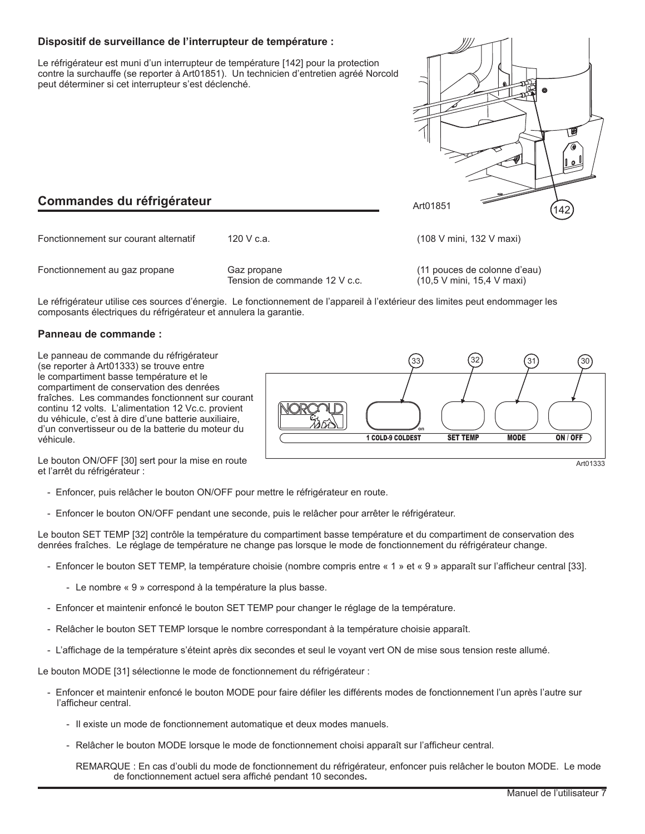## **Dispositif de surveillance de l'interrupteur de température :**

Le réfrigérateur est muni d'un interrupteur de température [142] pour la protection contre la surchauffe (se reporter à Art01851). Un technicien d'entretien agréé Norcold peut déterminer si cet interrupteur s'est déclenché.



# **Commandes du réfrigérateur**

| Fonctionnement sur courant alternatif | 120 V c.a.                                   | (108 V mini, 132 V maxi)                                  |
|---------------------------------------|----------------------------------------------|-----------------------------------------------------------|
| Fonctionnement au gaz propane         | Gaz propane<br>Tension de commande 12 V c.c. | (11 pouces de colonne d'eau)<br>(10.5 V min, 15.4 V maxi) |

Le réfrigérateur utilise ces sources d'énergie. Le fonctionnement de l'appareil à l'extérieur des limites peut endommager les composants électriques du réfrigérateur et annulera la garantie.

## **Panneau de commande :**

Le panneau de commande du réfrigérateur (se reporter à Art01333) se trouve entre le compartiment basse température et le compartiment de conservation des denrées fraîches. Les commandes fonctionnent sur courant continu 12 volts. L'alimentation 12 Vc.c. provient du véhicule, c'est à dire d'une batterie auxiliaire, d'un convertisseur ou de la batterie du moteur du véhicule.



Le bouton ON/OFF [30] sert pour la mise en route et l'arrêt du réfrigérateur :

- Enfoncer, puis relâcher le bouton ON/OFF pour mettre le réfrigérateur en route.
- Enfoncer le bouton ON/OFF pendant une seconde, puis le relâcher pour arrêter le réfrigérateur.

Le bouton SET TEMP [32] contrôle la température du compartiment basse température et du compartiment de conservation des denrées fraîches. Le réglage de température ne change pas lorsque le mode de fonctionnement du réfrigérateur change.

- Enfoncer le bouton SET TEMP, la température choisie (nombre compris entre « 1 » et « 9 » apparaît sur l'afficheur central [33].
	- Le nombre « 9 » correspond à la température la plus basse.
- Enfoncer et maintenir enfoncé le bouton SET TEMP pour changer le réglage de la température.
- Relâcher le bouton SET TEMP lorsque le nombre correspondant à la température choisie apparaît.
- L'affichage de la température s'éteint après dix secondes et seul le voyant vert ON de mise sous tension reste allumé.

Le bouton MODE [31] sélectionne le mode de fonctionnement du réfrigérateur :

- Enfoncer et maintenir enfoncé le bouton MODE pour faire défiler les différents modes de fonctionnement l'un après l'autre sur l'afficheur central.
	- Il existe un mode de fonctionnement automatique et deux modes manuels.
	- Relâcher le bouton MODE lorsque le mode de fonctionnement choisi apparaît sur l'afficheur central.

REMARQUE : En cas d'oubli du mode de fonctionnement du réfrigérateur, enfoncer puis relâcher le bouton MODE. Le mode de fonctionnement actuel sera affiché pendant 10 secondes**.**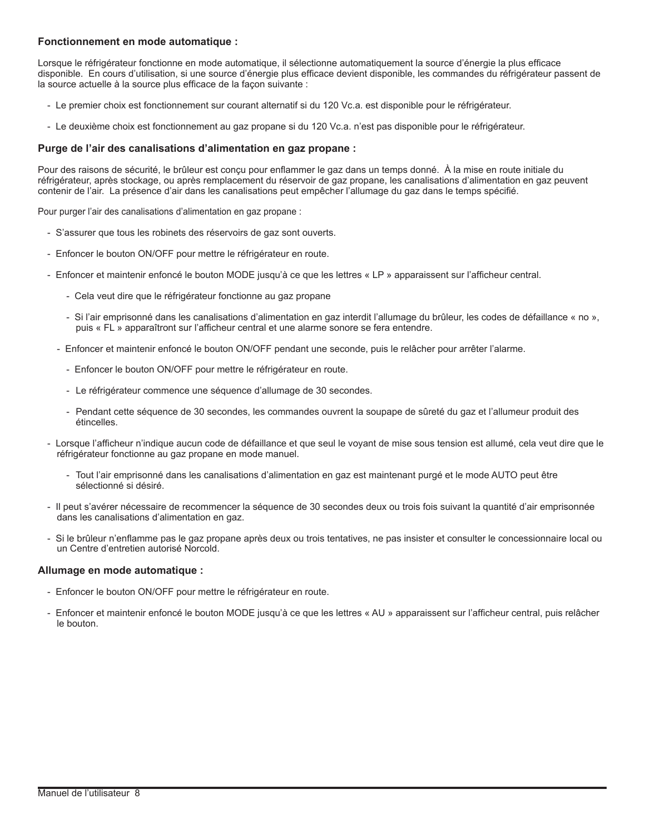## **Fonctionnement en mode automatique :**

Lorsque le réfrigérateur fonctionne en mode automatique, il sélectionne automatiquement la source d'énergie la plus efficace disponible. En cours d'utilisation, si une source d'énergie plus efficace devient disponible, les commandes du réfrigérateur passent de la source actuelle à la source plus efficace de la façon suivante :

- Le premier choix est fonctionnement sur courant alternatif si du 120 Vc.a. est disponible pour le réfrigérateur.
- Le deuxième choix est fonctionnement au gaz propane si du 120 Vc.a. n'est pas disponible pour le réfrigérateur.

## **Purge de l'air des canalisations d'alimentation en gaz propane :**

Pour des raisons de sécurité, le brûleur est conçu pour enflammer le gaz dans un temps donné. À la mise en route initiale du réfrigérateur, après stockage, ou après remplacement du réservoir de gaz propane, les canalisations d'alimentation en gaz peuvent contenir de l'air. La présence d'air dans les canalisations peut empêcher l'allumage du gaz dans le temps spécifié.

Pour purger l'air des canalisations d'alimentation en gaz propane :

- S'assurer que tous les robinets des réservoirs de gaz sont ouverts.
- Enfoncer le bouton ON/OFF pour mettre le réfrigérateur en route.
- Enfoncer et maintenir enfoncé le bouton MODE jusqu'à ce que les lettres « LP » apparaissent sur l'afficheur central.
	- Cela veut dire que le réfrigérateur fonctionne au gaz propane
	- Si l'air emprisonné dans les canalisations d'alimentation en gaz interdit l'allumage du brûleur, les codes de défaillance « no », puis « FL » apparaîtront sur l'afficheur central et une alarme sonore se fera entendre.
	- Enfoncer et maintenir enfoncé le bouton ON/OFF pendant une seconde, puis le relâcher pour arrêter l'alarme.
		- Enfoncer le bouton ON/OFF pour mettre le réfrigérateur en route.
		- Le réfrigérateur commence une séquence d'allumage de 30 secondes.
		- Pendant cette séquence de 30 secondes, les commandes ouvrent la soupape de sûreté du gaz et l'allumeur produit des étincelles.
- Lorsque l'afficheur n'indique aucun code de défaillance et que seul le voyant de mise sous tension est allumé, cela veut dire que le réfrigérateur fonctionne au gaz propane en mode manuel.
	- Tout l'air emprisonné dans les canalisations d'alimentation en gaz est maintenant purgé et le mode AUTO peut être sélectionné si désiré.
- Il peut s'avérer nécessaire de recommencer la séquence de 30 secondes deux ou trois fois suivant la quantité d'air emprisonnée dans les canalisations d'alimentation en gaz.
- Si le brûleur n'enflamme pas le gaz propane après deux ou trois tentatives, ne pas insister et consulter le concessionnaire local ou un Centre d'entretien autorisé Norcold.

## **Allumage en mode automatique :**

- Enfoncer le bouton ON/OFF pour mettre le réfrigérateur en route.
- Enfoncer et maintenir enfoncé le bouton MODE jusqu'à ce que les lettres « AU » apparaissent sur l'afficheur central, puis relâcher le bouton.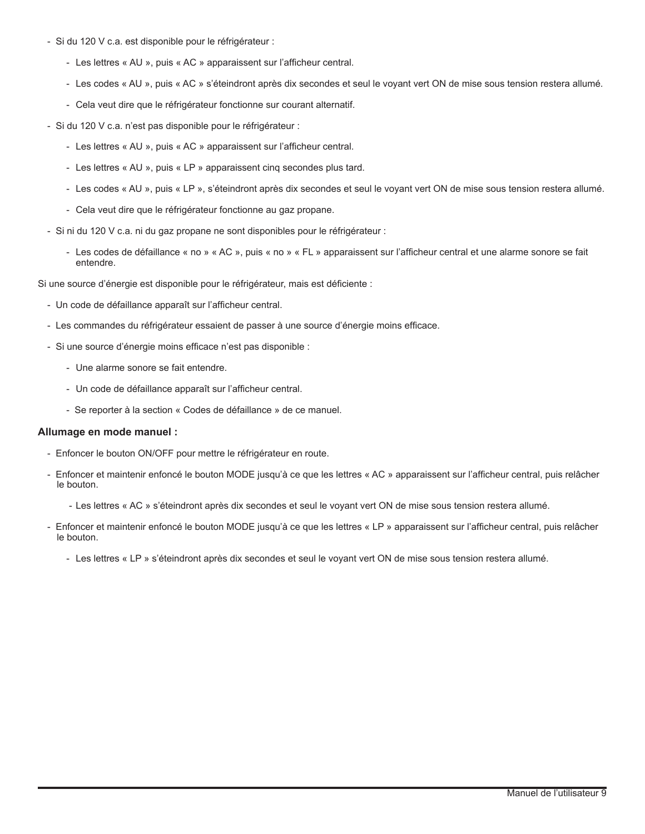- Si du 120 V c.a. est disponible pour le réfrigérateur :
	- Les lettres « AU », puis « AC » apparaissent sur l'afficheur central.
	- Les codes « AU », puis « AC » s'éteindront après dix secondes et seul le voyant vert ON de mise sous tension restera allumé.
	- Cela veut dire que le réfrigérateur fonctionne sur courant alternatif.
- Si du 120 V c.a. n'est pas disponible pour le réfrigérateur :
	- Les lettres « AU », puis « AC » apparaissent sur l'afficheur central.
	- Les lettres « AU », puis « LP » apparaissent cinq secondes plus tard.
	- Les codes « AU », puis « LP », s'éteindront après dix secondes et seul le voyant vert ON de mise sous tension restera allumé.
	- Cela veut dire que le réfrigérateur fonctionne au gaz propane.
- Si ni du 120 V c.a. ni du gaz propane ne sont disponibles pour le réfrigérateur :
	- Les codes de défaillance « no » « AC », puis « no » « FL » apparaissent sur l'afficheur central et une alarme sonore se fait entendre.

Si une source d'énergie est disponible pour le réfrigérateur, mais est déficiente :

- Un code de défaillance apparaît sur l'afficheur central.
- Les commandes du réfrigérateur essaient de passer à une source d'énergie moins efficace.
- Si une source d'énergie moins efficace n'est pas disponible :
	- Une alarme sonore se fait entendre.
	- Un code de défaillance apparaît sur l'afficheur central.
	- Se reporter à la section « Codes de défaillance » de ce manuel.

## **Allumage en mode manuel :**

- Enfoncer le bouton ON/OFF pour mettre le réfrigérateur en route.
- Enfoncer et maintenir enfoncé le bouton MODE jusqu'à ce que les lettres « AC » apparaissent sur l'afficheur central, puis relâcher le bouton.
	- Les lettres « AC » s'éteindront après dix secondes et seul le voyant vert ON de mise sous tension restera allumé.
- Enfoncer et maintenir enfoncé le bouton MODE jusqu'à ce que les lettres « LP » apparaissent sur l'afficheur central, puis relâcher le bouton.
	- Les lettres « LP » s'éteindront après dix secondes et seul le voyant vert ON de mise sous tension restera allumé.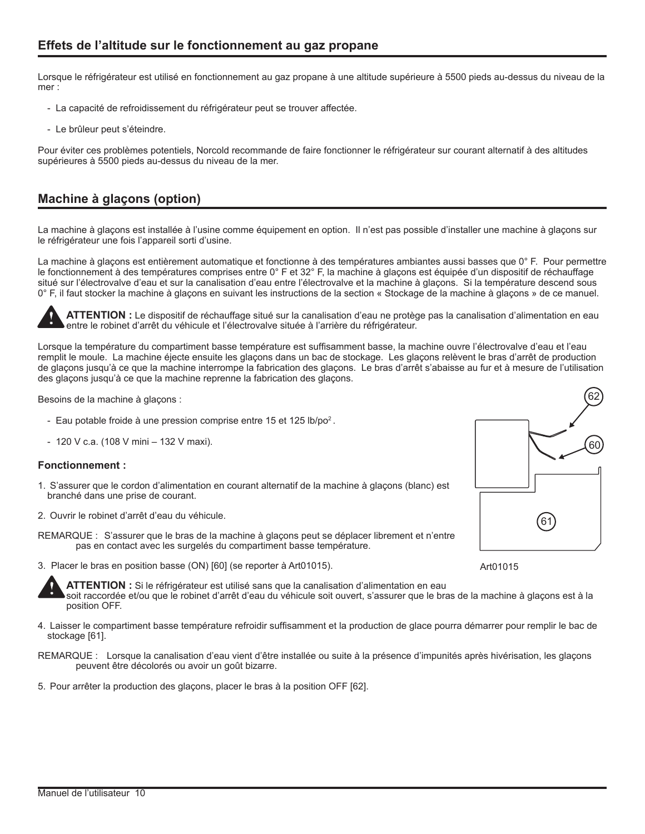Lorsque le réfrigérateur est utilisé en fonctionnement au gaz propane à une altitude supérieure à 5500 pieds au-dessus du niveau de la mer :

- La capacité de refroidissement du réfrigérateur peut se trouver affectée.
- Le brûleur peut s'éteindre.

Pour éviter ces problèmes potentiels, Norcold recommande de faire fonctionner le réfrigérateur sur courant alternatif à des altitudes supérieures à 5500 pieds au‑dessus du niveau de la mer.

# **Machine à glaçons (option)**

La machine à glaçons est installée à l'usine comme équipement en option. Il n'est pas possible d'installer une machine à glaçons sur le réfrigérateur une fois l'appareil sorti d'usine.

La machine à glacons est entièrement automatique et fonctionne à des températures ambiantes aussi basses que 0° F. Pour permettre le fonctionnement à des températures comprises entre 0° F et 32° F, la machine à glaçons est équipée d'un dispositif de réchauffage situé sur l'électrovalve d'eau et sur la canalisation d'eau entre l'électrovalve et la machine à glaçons. Si la température descend sous 0° F, il faut stocker la machine à glaçons en suivant les instructions de la section « Stockage de la machine à glaçons » de ce manuel.

**ATTENTION :** Le dispositif de réchauffage situé sur la canalisation d'eau ne protège pas la canalisation d'alimentation en eau entre le robinet d'arrêt du véhicule et l'électrovalve située à l'arrière du réfrigérateur.

Lorsque la température du compartiment basse température est suffisamment basse, la machine ouvre l'électrovalve d'eau et l'eau remplit le moule. La machine éjecte ensuite les glaçons dans un bac de stockage. Les glaçons relèvent le bras d'arrêt de production de glaçons jusqu'à ce que la machine interrompe la fabrication des glaçons. Le bras d'arrêt s'abaisse au fur et à mesure de l'utilisation des glaçons jusqu'à ce que la machine reprenne la fabrication des glaçons.

Besoins de la machine à glaçons :

- Eau potable froide à une pression comprise entre 15 et 125 lb/po<sup>2</sup>.
- 120 V c.a. (108 V mini 132 V maxi).

## **Fonctionnement :**

- 1. S'assurer que le cordon d'alimentation en courant alternatif de la machine à glaçons (blanc) est branché dans une prise de courant.
- 2. Ouvrir le robinet d'arrêt d'eau du véhicule.
- REMARQUE : S'assurer que le bras de la machine à glaçons peut se déplacer librement et n'entre pas en contact avec les surgelés du compartiment basse température.
- 3. Placer le bras en position basse (ON) [60] (se reporter à Art01015).



Art01015

**!**

**!**

**ATTENTION :** Si le réfrigérateur est utilisé sans que la canalisation d'alimentation en eau

soit raccordée et/ou que le robinet d'arrêt d'eau du véhicule soit ouvert, s'assurer que le bras de la machine à glaçons est à la position OFF.

- 4. Laisser le compartiment basse température refroidir suffisamment et la production de glace pourra démarrer pour remplir le bac de stockage [61].
- REMARQUE : Lorsque la canalisation d'eau vient d'être installée ou suite à la présence d'impunités après hivérisation, les glaçons peuvent être décolorés ou avoir un goût bizarre.
- 5. Pour arrêter la production des glaçons, placer le bras à la position OFF [62].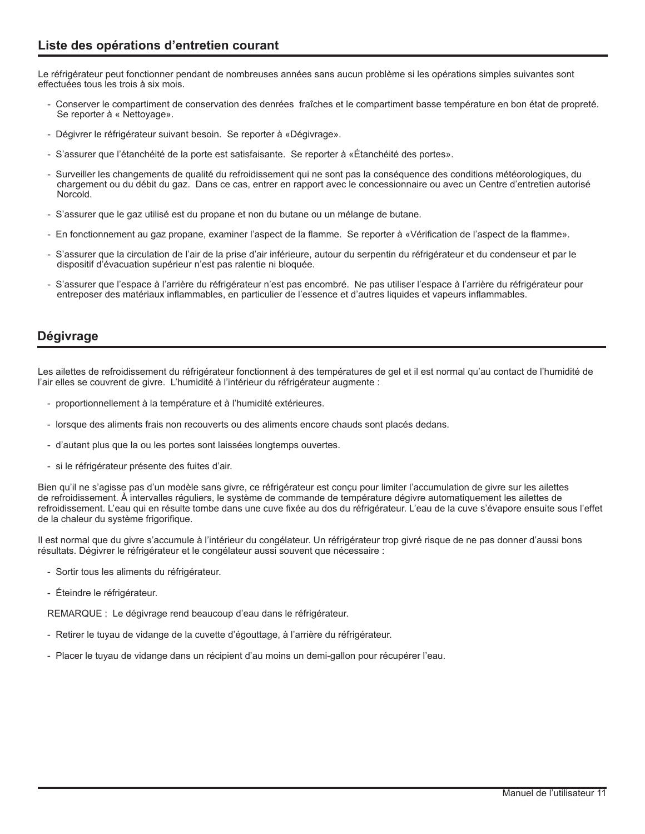Le réfrigérateur peut fonctionner pendant de nombreuses années sans aucun problème si les opérations simples suivantes sont effectuées tous les trois à six mois.

- Conserver le compartiment de conservation des denrées fraîches et le compartiment basse température en bon état de propreté. Se reporter à « Nettoyage».
- Dégivrer le réfrigérateur suivant besoin. Se reporter à «Dégivrage».
- S'assurer que l'étanchéité de la porte est satisfaisante. Se reporter à «Étanchéité des portes».
- Surveiller les changements de qualité du refroidissement qui ne sont pas la conséquence des conditions météorologiques, du chargement ou du débit du gaz. Dans ce cas, entrer en rapport avec le concessionnaire ou avec un Centre d'entretien autorisé Norcold.
- S'assurer que le gaz utilisé est du propane et non du butane ou un mélange de butane.
- En fonctionnement au gaz propane, examiner l'aspect de la flamme. Se reporter à «Vérification de l'aspect de la flamme».
- S'assurer que la circulation de l'air de la prise d'air inférieure, autour du serpentin du réfrigérateur et du condenseur et par le dispositif d'évacuation supérieur n'est pas ralentie ni bloquée.
- S'assurer que l'espace à l'arrière du réfrigérateur n'est pas encombré. Ne pas utiliser l'espace à l'arrière du réfrigérateur pour entreposer des matériaux inflammables, en particulier de l'essence et d'autres liquides et vapeurs inflammables.

# **Dégivrage**

Les ailettes de refroidissement du réfrigérateur fonctionnent à des températures de gel et il est normal qu'au contact de l'humidité de l'air elles se couvrent de givre. L'humidité à l'intérieur du réfrigérateur augmente :

- proportionnellement à la température et à l'humidité extérieures.
- lorsque des aliments frais non recouverts ou des aliments encore chauds sont placés dedans.
- d'autant plus que la ou les portes sont laissées longtemps ouvertes.
- si le réfrigérateur présente des fuites d'air.

Bien qu'il ne s'agisse pas d'un modèle sans givre, ce réfrigérateur est conçu pour limiter l'accumulation de givre sur les ailettes de refroidissement. À intervalles réguliers, le système de commande de température dégivre automatiquement les ailettes de refroidissement. L'eau qui en résulte tombe dans une cuve fixée au dos du réfrigérateur. L'eau de la cuve s'évapore ensuite sous l'effet de la chaleur du système frigorifique.

Il est normal que du givre s'accumule à l'intérieur du congélateur. Un réfrigérateur trop givré risque de ne pas donner d'aussi bons résultats. Dégivrer le réfrigérateur et le congélateur aussi souvent que nécessaire :

- Sortir tous les aliments du réfrigérateur.
- Éteindre le réfrigérateur.

REMARQUE : Le dégivrage rend beaucoup d'eau dans le réfrigérateur.

- Retirer le tuyau de vidange de la cuvette d'égouttage, à l'arrière du réfrigérateur.
- Placer le tuyau de vidange dans un récipient d'au moins un demi-gallon pour récupérer l'eau.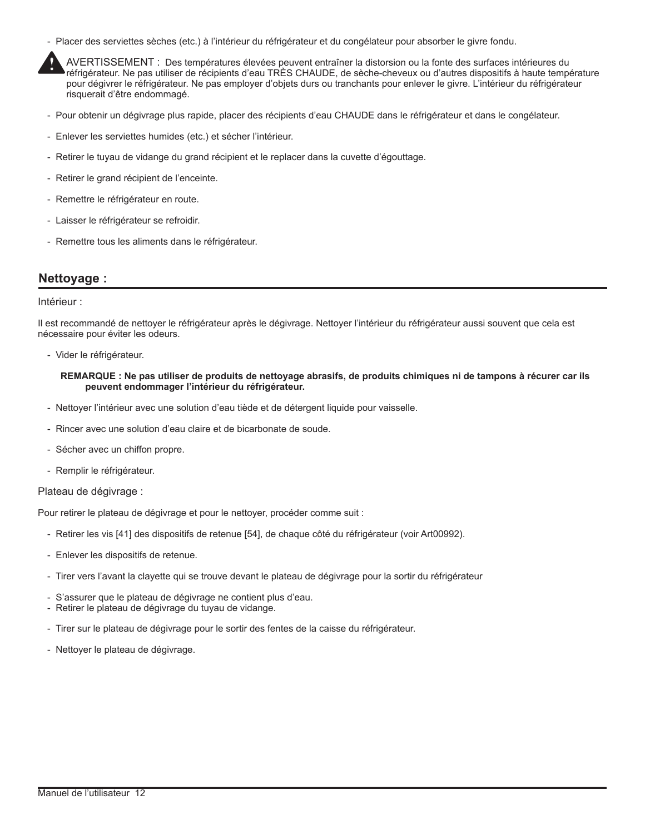- Placer des serviettes sèches (etc.) à l'intérieur du réfrigérateur et du congélateur pour absorber le givre fondu.



- Pour obtenir un dégivrage plus rapide, placer des récipients d'eau CHAUDE dans le réfrigérateur et dans le congélateur.
- Enlever les serviettes humides (etc.) et sécher l'intérieur.
- Retirer le tuyau de vidange du grand récipient et le replacer dans la cuvette d'égouttage.
- Retirer le grand récipient de l'enceinte.
- Remettre le réfrigérateur en route.
- Laisser le réfrigérateur se refroidir.
- Remettre tous les aliments dans le réfrigérateur.

## **Nettoyage :**

#### Intérieur :

Il est recommandé de nettoyer le réfrigérateur après le dégivrage. Nettoyer l'intérieur du réfrigérateur aussi souvent que cela est nécessaire pour éviter les odeurs.

- Vider le réfrigérateur.

## **REMARQUE : Ne pas utiliser de produits de nettoyage abrasifs, de produits chimiques ni de tampons à récurer car ils peuvent endommager l'intérieur du réfrigérateur.**

- Nettoyer l'intérieur avec une solution d'eau tiède et de détergent liquide pour vaisselle.
- Rincer avec une solution d'eau claire et de bicarbonate de soude.
- Sécher avec un chiffon propre.
- Remplir le réfrigérateur.

## Plateau de dégivrage :

Pour retirer le plateau de dégivrage et pour le nettoyer, procéder comme suit :

- Retirer les vis [41] des dispositifs de retenue [54], de chaque côté du réfrigérateur (voir Art00992).
- Enlever les dispositifs de retenue.
- Tirer vers l'avant la clayette qui se trouve devant le plateau de dégivrage pour la sortir du réfrigérateur
- S'assurer que le plateau de dégivrage ne contient plus d'eau.
- Retirer le plateau de dégivrage du tuyau de vidange.
- Tirer sur le plateau de dégivrage pour le sortir des fentes de la caisse du réfrigérateur.
- Nettoyer le plateau de dégivrage.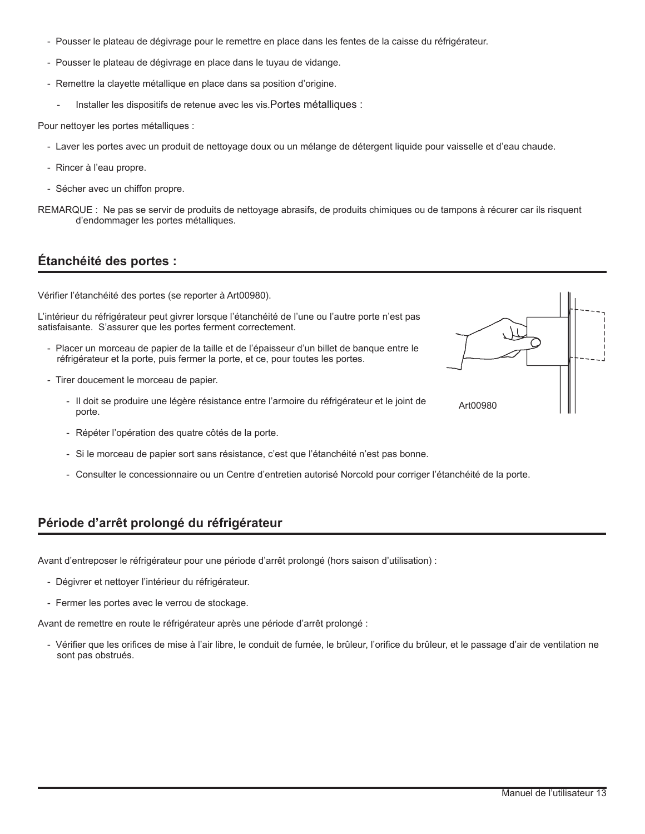- Pousser le plateau de dégivrage pour le remettre en place dans les fentes de la caisse du réfrigérateur.
- Pousser le plateau de dégivrage en place dans le tuyau de vidange.
- Remettre la clayette métallique en place dans sa position d'origine.
	- Installer les dispositifs de retenue avec les vis. Portes métalliques :

Pour nettoyer les portes métalliques :

- Laver les portes avec un produit de nettoyage doux ou un mélange de détergent liquide pour vaisselle et d'eau chaude.
- Rincer à l'eau propre.
- Sécher avec un chiffon propre.

REMARQUE : Ne pas se servir de produits de nettoyage abrasifs, de produits chimiques ou de tampons à récurer car ils risquent d'endommager les portes métalliques.

# **Étanchéité des portes :**

Vérifier l'étanchéité des portes (se reporter à Art00980).

L'intérieur du réfrigérateur peut givrer lorsque l'étanchéité de l'une ou l'autre porte n'est pas satisfaisante. S'assurer que les portes ferment correctement.

- Placer un morceau de papier de la taille et de l'épaisseur d'un billet de banque entre le réfrigérateur et la porte, puis fermer la porte, et ce, pour toutes les portes.
- Tirer doucement le morceau de papier.
	- Il doit se produire une légère résistance entre l'armoire du réfrigérateur et le joint de porte.
	- Répéter l'opération des quatre côtés de la porte.
	- Si le morceau de papier sort sans résistance, c'est que l'étanchéité n'est pas bonne.
	- Consulter le concessionnaire ou un Centre d'entretien autorisé Norcold pour corriger l'étanchéité de la porte.

# **Période d'arrêt prolongé du réfrigérateur**

Avant d'entreposer le réfrigérateur pour une période d'arrêt prolongé (hors saison d'utilisation) :

- Dégivrer et nettoyer l'intérieur du réfrigérateur.
- Fermer les portes avec le verrou de stockage.

Avant de remettre en route le réfrigérateur après une période d'arrêt prolongé :

- Vérifier que les orifices de mise à l'air libre, le conduit de fumée, le brûleur, l'orifice du brûleur, et le passage d'air de ventilation ne sont pas obstrués.

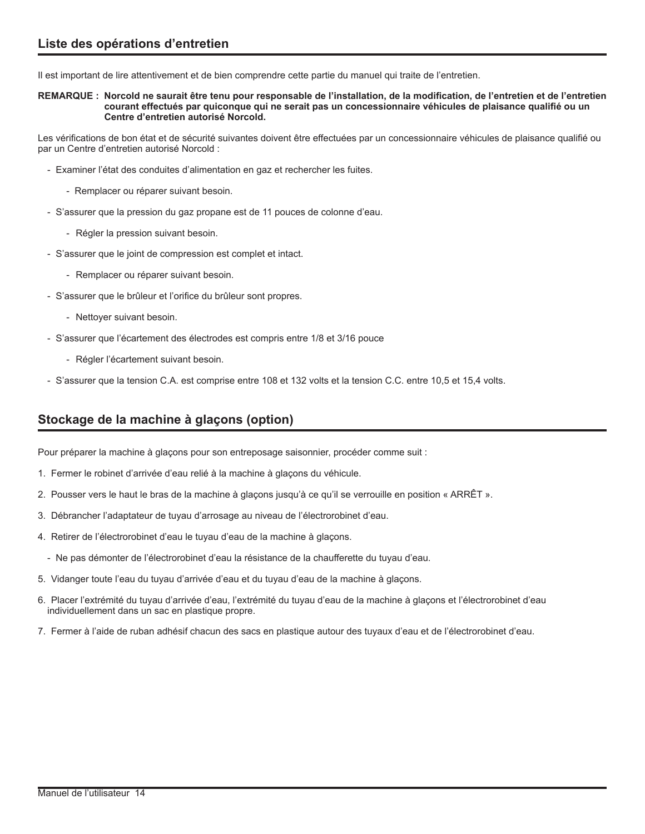Il est important de lire attentivement et de bien comprendre cette partie du manuel qui traite de l'entretien.

**REMARQUE : Norcold ne saurait être tenu pour responsable de l'installation, de la modification, de l'entretien et de l'entretien courant effectués par quiconque qui ne serait pas un concessionnaire véhicules de plaisance qualifié ou un Centre d'entretien autorisé Norcold.**

Les vérifications de bon état et de sécurité suivantes doivent être effectuées par un concessionnaire véhicules de plaisance qualifié ou par un Centre d'entretien autorisé Norcold :

- Examiner l'état des conduites d'alimentation en gaz et rechercher les fuites.
	- Remplacer ou réparer suivant besoin.
- S'assurer que la pression du gaz propane est de 11 pouces de colonne d'eau.
	- Régler la pression suivant besoin.
- S'assurer que le joint de compression est complet et intact.
	- Remplacer ou réparer suivant besoin.
- S'assurer que le brûleur et l'orifice du brûleur sont propres.
	- Nettoyer suivant besoin.
- S'assurer que l'écartement des électrodes est compris entre 1/8 et 3/16 pouce
	- Régler l'écartement suivant besoin.
- S'assurer que la tension C.A. est comprise entre 108 et 132 volts et la tension C.C. entre 10,5 et 15,4 volts.

# **Stockage de la machine à glaçons (option)**

Pour préparer la machine à glaçons pour son entreposage saisonnier, procéder comme suit :

- 1. Fermer le robinet d'arrivée d'eau relié à la machine à glaçons du véhicule.
- 2. Pousser vers le haut le bras de la machine à glaçons jusqu'à ce qu'il se verrouille en position « ARRÊT ».
- 3. Débrancher l'adaptateur de tuyau d'arrosage au niveau de l'électrorobinet d'eau.
- 4. Retirer de l'électrorobinet d'eau le tuyau d'eau de la machine à glaçons.
	- Ne pas démonter de l'électrorobinet d'eau la résistance de la chaufferette du tuyau d'eau.
- 5. Vidanger toute l'eau du tuyau d'arrivée d'eau et du tuyau d'eau de la machine à glaçons.
- 6. Placer l'extrémité du tuyau d'arrivée d'eau, l'extrémité du tuyau d'eau de la machine à glaçons et l'électrorobinet d'eau individuellement dans un sac en plastique propre.
- 7. Fermer à l'aide de ruban adhésif chacun des sacs en plastique autour des tuyaux d'eau et de l'électrorobinet d'eau.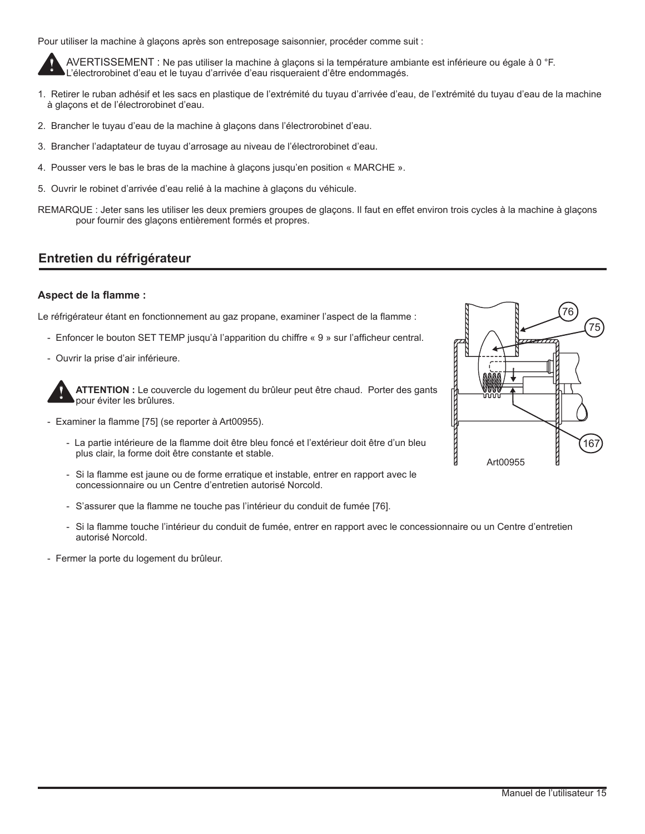Pour utiliser la machine à glaçons après son entreposage saisonnier, procéder comme suit :

AVERTISSEMENT : Ne pas utiliser la machine à glaçons si la température ambiante est inférieure ou égale à 0 °F. L'électrorobinet d'eau et le tuyau d'arrivée d'eau risqueraient d'être endommagés. **!**

- 1. Retirer le ruban adhésif et les sacs en plastique de l'extrémité du tuyau d'arrivée d'eau, de l'extrémité du tuyau d'eau de la machine à glaçons et de l'électrorobinet d'eau.
- 2. Brancher le tuyau d'eau de la machine à glaçons dans l'électrorobinet d'eau.
- 3. Brancher l'adaptateur de tuyau d'arrosage au niveau de l'électrorobinet d'eau.
- 4. Pousser vers le bas le bras de la machine à glaçons jusqu'en position « MARCHE ».
- 5. Ouvrir le robinet d'arrivée d'eau relié à la machine à glaçons du véhicule.
- REMARQUE : Jeter sans les utiliser les deux premiers groupes de glaçons. Il faut en effet environ trois cycles à la machine à glaçons pour fournir des glaçons entièrement formés et propres.

# **Entretien du réfrigérateur**

## **Aspect de la flamme :**

Le réfrigérateur étant en fonctionnement au gaz propane, examiner l'aspect de la flamme :

- Enfoncer le bouton SET TEMP jusqu'à l'apparition du chiffre « 9 » sur l'afficheur central.
- Ouvrir la prise d'air inférieure.

**ATTENTION :** Le couvercle du logement du brûleur peut être chaud. Porter des gants pour éviter les brûlures. **!**

- Examiner la flamme [75] (se reporter à Art00955).
	- La partie intérieure de la flamme doit être bleu foncé et l'extérieur doit être d'un bleu plus clair, la forme doit être constante et stable.
	- Si la flamme est jaune ou de forme erratique et instable, entrer en rapport avec le concessionnaire ou un Centre d'entretien autorisé Norcold.
	- S'assurer que la flamme ne touche pas l'intérieur du conduit de fumée [76].
	- Si la flamme touche l'intérieur du conduit de fumée, entrer en rapport avec le concessionnaire ou un Centre d'entretien autorisé Norcold.
- Fermer la porte du logement du brûleur.

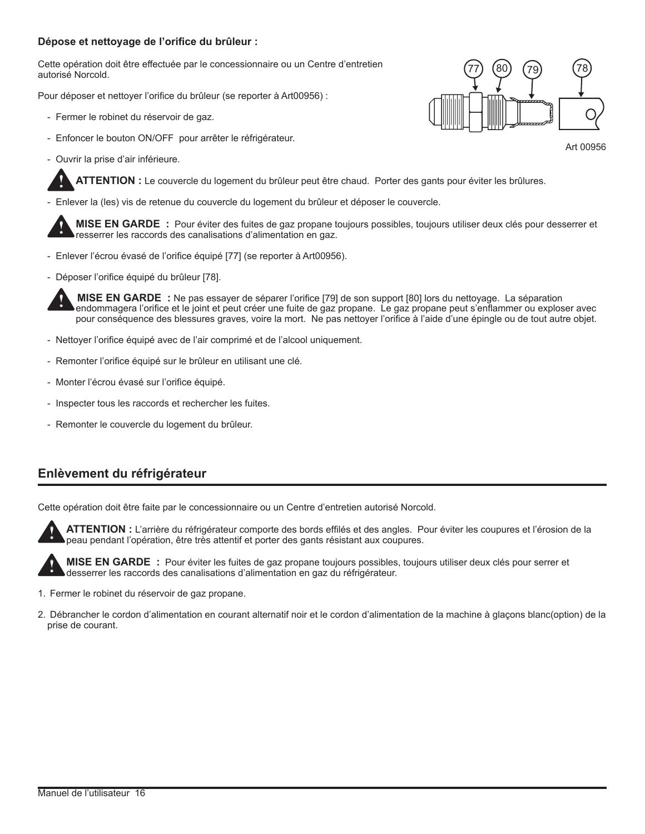## **Dépose et nettoyage de l'orifice du brûleur :**

Cette opération doit être effectuée par le concessionnaire ou un Centre d'entretien autorisé Norcold.

Pour déposer et nettoyer l'orifice du brûleur (se reporter à Art00956) :

- Fermer le robinet du réservoir de gaz.
- Enfoncer le bouton ON/OFF pour arrêter le réfrigérateur.
- Ouvrir la prise d'air inférieure.

**!**

**!**



- Enlever la (les) vis de retenue du couvercle du logement du brûleur et déposer le couvercle.

**MISE EN GARDE :** Pour éviter des fuites de gaz propane toujours possibles, toujours utiliser deux clés pour desserrer et resserrer les raccords des canalisations d'alimentation en gaz.

- Enlever l'écrou évasé de l'orifice équipé [77] (se reporter à Art00956).
- Déposer l'orifice équipé du brûleur [78].

 **MISE EN GARDE :** Ne pas essayer de séparer l'orifice [79] de son support [80] lors du nettoyage. La séparation endommagera l'orifice et le joint et peut créer une fuite de gaz propane. Le gaz propane peut s'enflammer ou exploser avec pour conséquence des blessures graves, voire la mort. Ne pas nettoyer l'orifice à l'aide d'une épingle ou de tout autre objet. **!**

- Nettoyer l'orifice équipé avec de l'air comprimé et de l'alcool uniquement.
- Remonter l'orifice équipé sur le brûleur en utilisant une clé.
- Monter l'écrou évasé sur l'orifice équipé.
- Inspecter tous les raccords et rechercher les fuites.
- Remonter le couvercle du logement du brûleur.

# **Enlèvement du réfrigérateur**

Cette opération doit être faite par le concessionnaire ou un Centre d'entretien autorisé Norcold.



**ATTENTION :** L'arrière du réfrigérateur comporte des bords effilés et des angles. Pour éviter les coupures et l'érosion de la peau pendant l'opération, être très attentif et porter des gants résistant aux coupures.



**MISE EN GARDE :** Pour éviter les fuites de gaz propane toujours possibles, toujours utiliser deux clés pour serrer et desserrer les raccords des canalisations d'alimentation en gaz du réfrigérateur.

- 1. Fermer le robinet du réservoir de gaz propane.
- 2. Débrancher le cordon d'alimentation en courant alternatif noir et le cordon d'alimentation de la machine à glaçons blanc(option) de la prise de courant.



Art 00956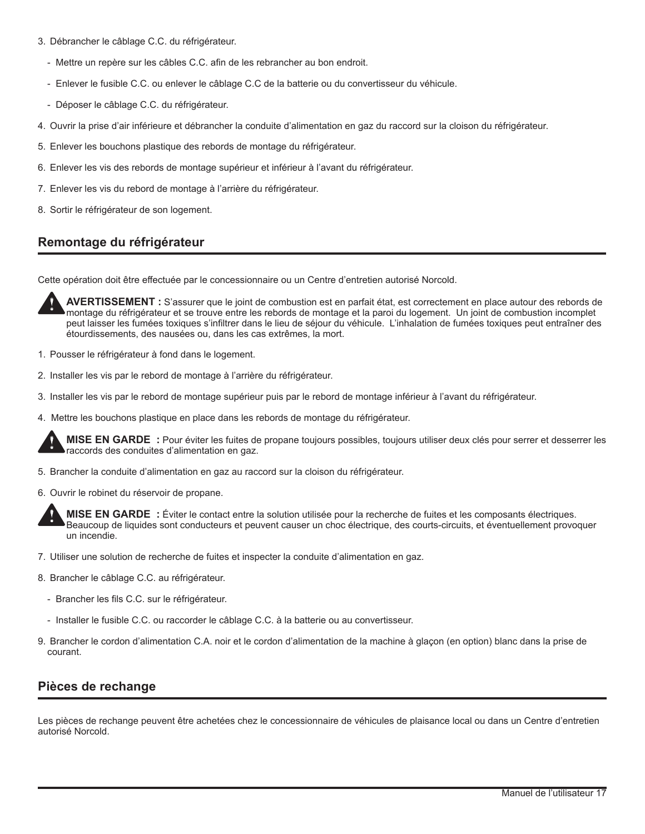- 3. Débrancher le câblage C.C. du réfrigérateur.
	- Mettre un repère sur les câbles C.C. afin de les rebrancher au bon endroit.
	- Enlever le fusible C.C. ou enlever le câblage C.C de la batterie ou du convertisseur du véhicule.
	- Déposer le câblage C.C. du réfrigérateur.
- 4. Ouvrir la prise d'air inférieure et débrancher la conduite d'alimentation en gaz du raccord sur la cloison du réfrigérateur.
- 5. Enlever les bouchons plastique des rebords de montage du réfrigérateur.
- 6. Enlever les vis des rebords de montage supérieur et inférieur à l'avant du réfrigérateur.
- 7. Enlever les vis du rebord de montage à l'arrière du réfrigérateur.
- 8. Sortir le réfrigérateur de son logement.

# **Remontage du réfrigérateur**

Cette opération doit être effectuée par le concessionnaire ou un Centre d'entretien autorisé Norcold.

**AVERTISSEMENT :** S'assurer que le joint de combustion est en parfait état, est correctement en place autour des rebords de montage du réfrigérateur et se trouve entre les rebords de montage et la paroi du logement. Un joint de combustion incomplet peut laisser les fumées toxiques s'infiltrer dans le lieu de séjour du véhicule. L'inhalation de fumées toxiques peut entraîner des étourdissements, des nausées ou, dans les cas extrêmes, la mort. **!**

- 1. Pousser le réfrigérateur à fond dans le logement.
- 2. Installer les vis par le rebord de montage à l'arrière du réfrigérateur.
- 3. Installer les vis par le rebord de montage supérieur puis par le rebord de montage inférieur à l'avant du réfrigérateur.
- 4. Mettre les bouchons plastique en place dans les rebords de montage du réfrigérateur.

**MISE EN GARDE :** Pour éviter les fuites de propane toujours possibles, toujours utiliser deux clés pour serrer et desserrer les raccords des conduites d'alimentation en gaz. **!**

- 5. Brancher la conduite d'alimentation en gaz au raccord sur la cloison du réfrigérateur.
- 6. Ouvrir le robinet du réservoir de propane.



**MISE EN GARDE :** Éviter le contact entre la solution utilisée pour la recherche de fuites et les composants électriques. Beaucoup de liquides sont conducteurs et peuvent causer un choc électrique, des courts-circuits, et éventuellement provoquer un incendie.

- 7. Utiliser une solution de recherche de fuites et inspecter la conduite d'alimentation en gaz.
- 8. Brancher le câblage C.C. au réfrigérateur.
	- Brancher les fils C.C. sur le réfrigérateur.
	- Installer le fusible C.C. ou raccorder le câblage C.C. à la batterie ou au convertisseur.
- 9. Brancher le cordon d'alimentation C.A. noir et le cordon d'alimentation de la machine à glaçon (en option) blanc dans la prise de courant.

# **Pièces de rechange**

Les pièces de rechange peuvent être achetées chez le concessionnaire de véhicules de plaisance local ou dans un Centre d'entretien autorisé Norcold.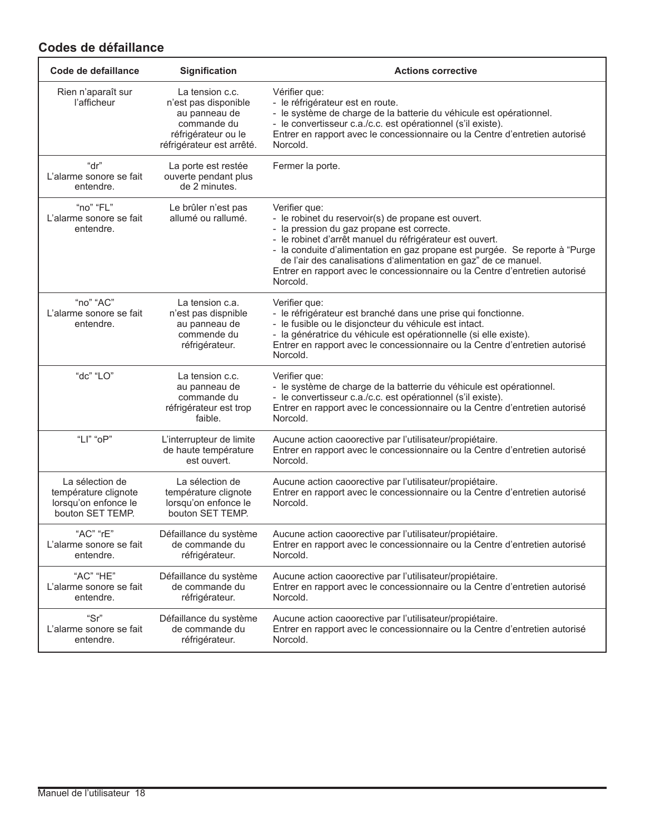# **Codes de défaillance**

| Code de defaillance                                                                 | Signification                                                                                                               | <b>Actions corrective</b>                                                                                                                                                                                                                                                                                                                                                                                                   |
|-------------------------------------------------------------------------------------|-----------------------------------------------------------------------------------------------------------------------------|-----------------------------------------------------------------------------------------------------------------------------------------------------------------------------------------------------------------------------------------------------------------------------------------------------------------------------------------------------------------------------------------------------------------------------|
| Rien n'aparaît sur<br>l'afficheur                                                   | La tension c.c.<br>n'est pas disponible<br>au panneau de<br>commande du<br>réfrigérateur ou le<br>réfrigérateur est arrêté. | Vérifier que:<br>- le réfrigérateur est en route.<br>- le système de charge de la batterie du véhicule est opérationnel.<br>- le convertisseur c.a./c.c. est opérationnel (s'il existe).<br>Entrer en rapport avec le concessionnaire ou la Centre d'entretien autorisé<br>Norcold.                                                                                                                                         |
| "dr"<br>L'alarme sonore se fait<br>entendre.                                        | La porte est restée<br>ouverte pendant plus<br>de 2 minutes.                                                                | Fermer la porte.                                                                                                                                                                                                                                                                                                                                                                                                            |
| "no" "FL"<br>L'alarme sonore se fait<br>entendre.                                   | Le brûler n'est pas<br>allumé ou rallumé.                                                                                   | Verifier que:<br>- le robinet du reservoir(s) de propane est ouvert.<br>- la pression du gaz propane est correcte.<br>- le robinet d'arrêt manuel du réfrigérateur est ouvert.<br>- la conduite d'alimentation en gaz propane est purgée. Se reporte à "Purge<br>de l'air des canalisations d'alimentation en gaz" de ce manuel.<br>Entrer en rapport avec le concessionnaire ou la Centre d'entretien autorisé<br>Norcold. |
| "no" "AC"<br>L'alarme sonore se fait<br>entendre.                                   | La tension c.a.<br>n'est pas dispnible<br>au panneau de<br>commende du<br>réfrigérateur.                                    | Verifier que:<br>- le réfrigérateur est branché dans une prise qui fonctionne.<br>- le fusible ou le disjoncteur du véhicule est intact.<br>- la génératrice du véhicule est opérationnelle (si elle existe).<br>Entrer en rapport avec le concessionnaire ou la Centre d'entretien autorisé<br>Norcold.                                                                                                                    |
| "dc" "LO"                                                                           | La tension c.c.<br>au panneau de<br>commande du<br>réfrigérateur est trop<br>faible.                                        | Verifier que:<br>- le système de charge de la batterrie du véhicule est opérationnel.<br>- le convertisseur c.a./c.c. est opérationnel (s'il existe).<br>Entrer en rapport avec le concessionnaire ou la Centre d'entretien autorisé<br>Norcold.                                                                                                                                                                            |
| "LI" "oP"                                                                           | L'interrupteur de limite<br>de haute température<br>est ouvert.                                                             | Aucune action caoorective par l'utilisateur/propiétaire.<br>Entrer en rapport avec le concessionnaire ou la Centre d'entretien autorisé<br>Norcold.                                                                                                                                                                                                                                                                         |
| La sélection de<br>température clignote<br>lorsqu'on enfonce le<br>bouton SET TEMP. | La sélection de<br>température clignote<br>lorsqu'on enfonce le<br>bouton SET TEMP.                                         | Aucune action caoorective par l'utilisateur/propiétaire.<br>Entrer en rapport avec le concessionnaire ou la Centre d'entretien autorisé<br>Norcold.                                                                                                                                                                                                                                                                         |
| "AC" "rE"<br>L'alarme sonore se fait<br>entendre.                                   | Défaillance du système<br>de commande du<br>réfrigérateur.                                                                  | Aucune action caoorective par l'utilisateur/propiétaire.<br>Entrer en rapport avec le concessionnaire ou la Centre d'entretien autorisé<br>Norcold.                                                                                                                                                                                                                                                                         |
| "AC" "HE"<br>L'alarme sonore se fait<br>entendre.                                   | Défaillance du système<br>de commande du<br>réfrigérateur.                                                                  | Aucune action caoorective par l'utilisateur/propiétaire.<br>Entrer en rapport avec le concessionnaire ou la Centre d'entretien autorisé<br>Norcold.                                                                                                                                                                                                                                                                         |
| "Sr"<br>L'alarme sonore se fait<br>entendre.                                        | Défaillance du système<br>de commande du<br>réfrigérateur.                                                                  | Aucune action caoorective par l'utilisateur/propiétaire.<br>Entrer en rapport avec le concessionnaire ou la Centre d'entretien autorisé<br>Norcold.                                                                                                                                                                                                                                                                         |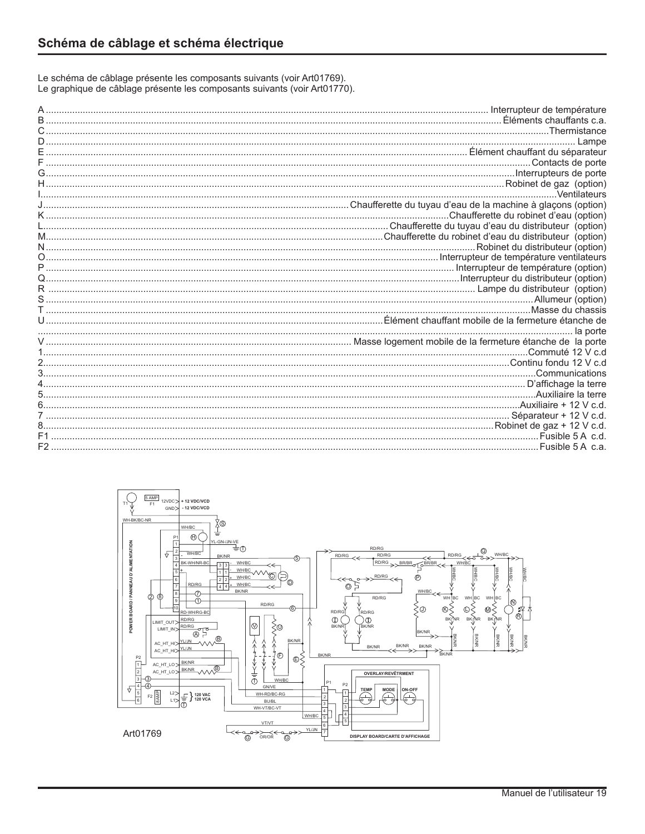Le schéma de câblage présente les composants suivants (voir Art01769). Le graphique de câblage présente les composants suivants (voir Art01770).

| Thermistance                            |
|-----------------------------------------|
| Lampe                                   |
|                                         |
|                                         |
|                                         |
|                                         |
| .Ventilateurs                           |
|                                         |
| .Chaufferette du robinet d'eau (option) |
|                                         |
|                                         |
| Robinet du distributeur (option)        |
|                                         |
|                                         |
|                                         |
|                                         |
|                                         |
| Allumeur (option)                       |
|                                         |
|                                         |
| la porte                                |
| .Commuté 12 V c.d                       |
|                                         |
|                                         |
|                                         |
|                                         |
|                                         |
|                                         |
|                                         |
| Robinet de gaz + 12 V c.d.              |
| Fusible 5 A c.d.                        |
| Fusible 5 A c.a.                        |